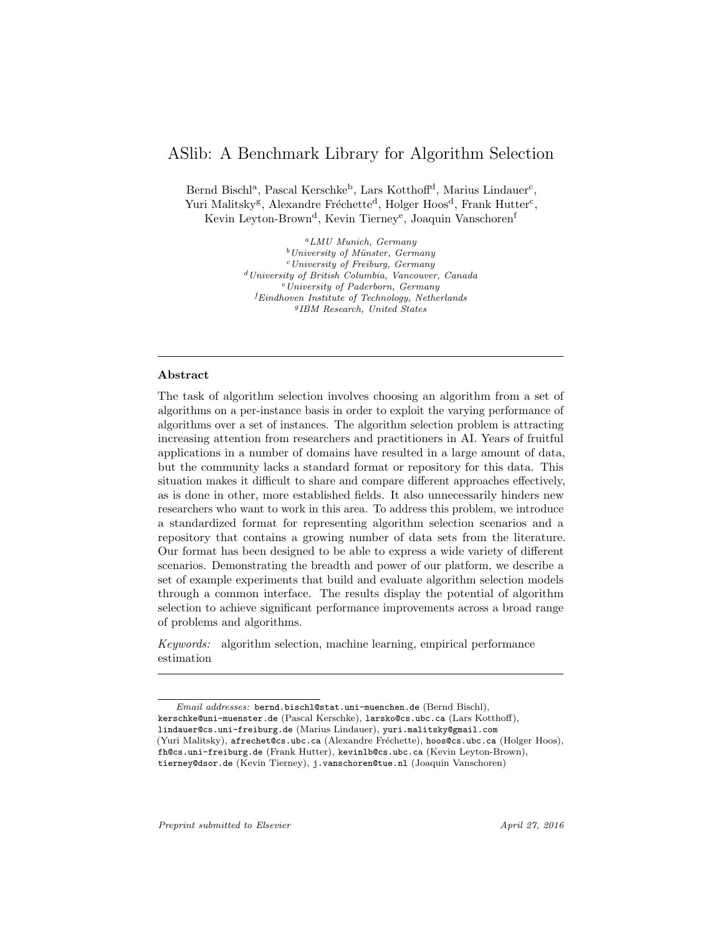# ASlib: A Benchmark Library for Algorithm Selection

Bernd Bischl<sup>a</sup>, Pascal Kerschke<sup>b</sup>, Lars Kotthoff<sup>d</sup>, Marius Lindauer<sup>c</sup>, Yuri Malitsky<sup>g</sup>, Alexandre Fréchette<sup>d</sup>, Holger Hoos<sup>d</sup>, Frank Hutter<sup>c</sup>, Kevin Leyton-Brown<sup>d</sup>, Kevin Tierney<sup>e</sup>, Joaquin Vanschoren<sup>f</sup>

> <sup>a</sup>LMU Munich, Germany  $b$ University of Münster, Germany  $c$ University of Freiburg, Germany <sup>d</sup>University of British Columbia, Vancouver, Canada  $e$ University of Paderborn, Germany  ${}^{f}Eindhoven$  Institute of Technology, Netherlands g IBM Research, United States

# Abstract

The task of algorithm selection involves choosing an algorithm from a set of algorithms on a per-instance basis in order to exploit the varying performance of algorithms over a set of instances. The algorithm selection problem is attracting increasing attention from researchers and practitioners in AI. Years of fruitful applications in a number of domains have resulted in a large amount of data, but the community lacks a standard format or repository for this data. This situation makes it difficult to share and compare different approaches effectively, as is done in other, more established fields. It also unnecessarily hinders new researchers who want to work in this area. To address this problem, we introduce a standardized format for representing algorithm selection scenarios and a repository that contains a growing number of data sets from the literature. Our format has been designed to be able to express a wide variety of different scenarios. Demonstrating the breadth and power of our platform, we describe a set of example experiments that build and evaluate algorithm selection models through a common interface. The results display the potential of algorithm selection to achieve significant performance improvements across a broad range of problems and algorithms.

Keywords: algorithm selection, machine learning, empirical performance estimation

Email addresses: bernd.bischl@stat.uni-muenchen.de (Bernd Bischl), kerschke@uni-muenster.de (Pascal Kerschke), larsko@cs.ubc.ca (Lars Kotthoff), lindauer@cs.uni-freiburg.de (Marius Lindauer), yuri.malitsky@gmail.com (Yuri Malitsky), afrechet@cs.ubc.ca (Alexandre Fréchette), hoos@cs.ubc.ca (Holger Hoos), fh@cs.uni-freiburg.de (Frank Hutter), kevinlb@cs.ubc.ca (Kevin Leyton-Brown), tierney@dsor.de (Kevin Tierney), j.vanschoren@tue.nl (Joaquin Vanschoren)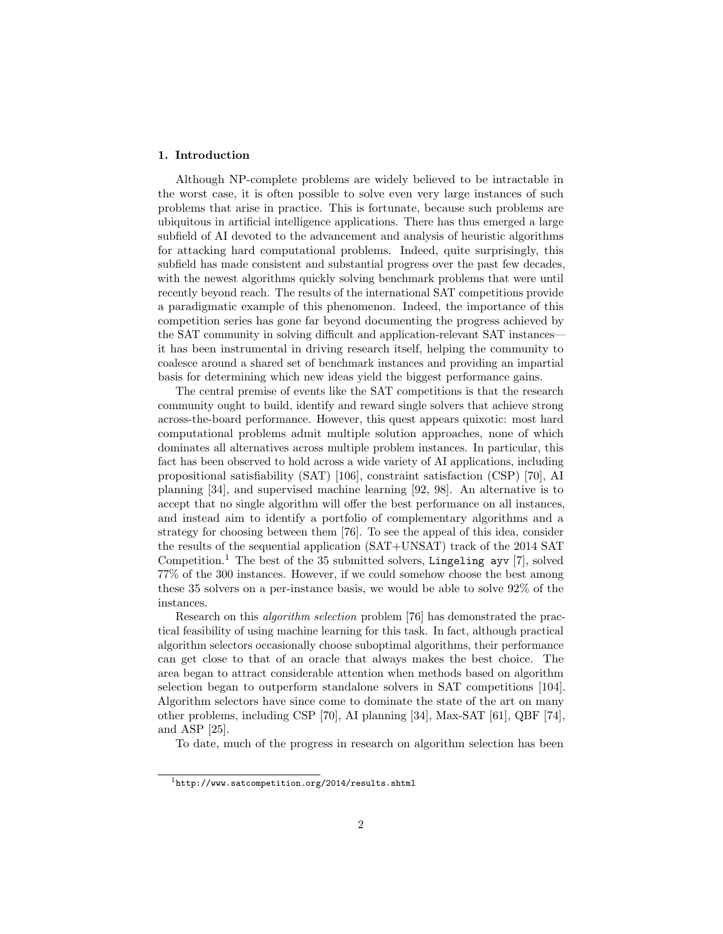# <span id="page-1-1"></span>1. Introduction

Although NP-complete problems are widely believed to be intractable in the worst case, it is often possible to solve even very large instances of such problems that arise in practice. This is fortunate, because such problems are ubiquitous in artificial intelligence applications. There has thus emerged a large subfield of AI devoted to the advancement and analysis of heuristic algorithms for attacking hard computational problems. Indeed, quite surprisingly, this subfield has made consistent and substantial progress over the past few decades, with the newest algorithms quickly solving benchmark problems that were until recently beyond reach. The results of the international SAT competitions provide a paradigmatic example of this phenomenon. Indeed, the importance of this competition series has gone far beyond documenting the progress achieved by the SAT community in solving difficult and application-relevant SAT instances it has been instrumental in driving research itself, helping the community to coalesce around a shared set of benchmark instances and providing an impartial basis for determining which new ideas yield the biggest performance gains.

The central premise of events like the SAT competitions is that the research community ought to build, identify and reward single solvers that achieve strong across-the-board performance. However, this quest appears quixotic: most hard computational problems admit multiple solution approaches, none of which dominates all alternatives across multiple problem instances. In particular, this fact has been observed to hold across a wide variety of AI applications, including propositional satisfiability (SAT) [\[106\]](#page-32-0), constraint satisfaction (CSP) [\[70\]](#page-29-0), AI planning [\[34\]](#page-25-0), and supervised machine learning [\[92,](#page-30-0) [98\]](#page-31-0). An alternative is to accept that no single algorithm will offer the best performance on all instances, and instead aim to identify a portfolio of complementary algorithms and a strategy for choosing between them [\[76\]](#page-29-1). To see the appeal of this idea, consider the results of the sequential application (SAT+UNSAT) track of the 2014 SAT Competition.[1](#page-1-0) The best of the 35 submitted solvers, Lingeling ayv [\[7\]](#page-23-0), solved 77% of the 300 instances. However, if we could somehow choose the best among these 35 solvers on a per-instance basis, we would be able to solve 92% of the instances.

Research on this algorithm selection problem [\[76\]](#page-29-1) has demonstrated the practical feasibility of using machine learning for this task. In fact, although practical algorithm selectors occasionally choose suboptimal algorithms, their performance can get close to that of an oracle that always makes the best choice. The area began to attract considerable attention when methods based on algorithm selection began to outperform standalone solvers in SAT competitions [\[104\]](#page-31-1). Algorithm selectors have since come to dominate the state of the art on many other problems, including CSP [\[70\]](#page-29-0), AI planning [\[34\]](#page-25-0), Max-SAT [\[61\]](#page-28-0), QBF [\[74\]](#page-29-2), and ASP [\[25\]](#page-25-1).

To date, much of the progress in research on algorithm selection has been

<span id="page-1-0"></span> $1$ <http://www.satcompetition.org/2014/results.shtml>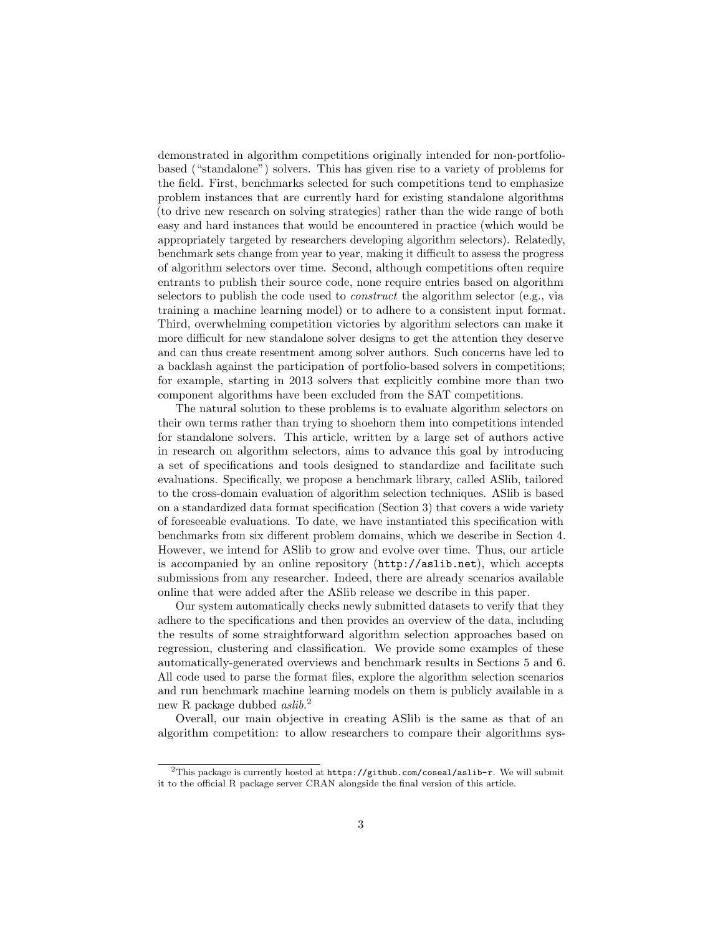demonstrated in algorithm competitions originally intended for non-portfoliobased ("standalone") solvers. This has given rise to a variety of problems for the field. First, benchmarks selected for such competitions tend to emphasize problem instances that are currently hard for existing standalone algorithms (to drive new research on solving strategies) rather than the wide range of both easy and hard instances that would be encountered in practice (which would be appropriately targeted by researchers developing algorithm selectors). Relatedly, benchmark sets change from year to year, making it difficult to assess the progress of algorithm selectors over time. Second, although competitions often require entrants to publish their source code, none require entries based on algorithm selectors to publish the code used to construct the algorithm selector (e.g., via training a machine learning model) or to adhere to a consistent input format. Third, overwhelming competition victories by algorithm selectors can make it more difficult for new standalone solver designs to get the attention they deserve and can thus create resentment among solver authors. Such concerns have led to a backlash against the participation of portfolio-based solvers in competitions; for example, starting in 2013 solvers that explicitly combine more than two component algorithms have been excluded from the SAT competitions.

The natural solution to these problems is to evaluate algorithm selectors on their own terms rather than trying to shoehorn them into competitions intended for standalone solvers. This article, written by a large set of authors active in research on algorithm selectors, aims to advance this goal by introducing a set of specifications and tools designed to standardize and facilitate such evaluations. Specifically, we propose a benchmark library, called ASlib, tailored to the cross-domain evaluation of algorithm selection techniques. ASlib is based on a standardized data format specification (Section [3\)](#page-6-0) that covers a wide variety of foreseeable evaluations. To date, we have instantiated this specification with benchmarks from six different problem domains, which we describe in Section [4.](#page-8-0) However, we intend for ASlib to grow and evolve over time. Thus, our article is accompanied by an online repository (<http://aslib.net>), which accepts submissions from any researcher. Indeed, there are already scenarios available online that were added after the ASlib release we describe in this paper.

Our system automatically checks newly submitted datasets to verify that they adhere to the specifications and then provides an overview of the data, including the results of some straightforward algorithm selection approaches based on regression, clustering and classification. We provide some examples of these automatically-generated overviews and benchmark results in Sections [5](#page-12-0) and [6.](#page-16-0) All code used to parse the format files, explore the algorithm selection scenarios and run benchmark machine learning models on them is publicly available in a new R package dubbed *aslib*.<sup>[2](#page-2-0)</sup>

Overall, our main objective in creating ASlib is the same as that of an algorithm competition: to allow researchers to compare their algorithms sys-

<span id="page-2-0"></span> $2$ This package is currently hosted at  $https://github.com/coseal/aslib-r.$  $https://github.com/coseal/aslib-r.$  We will submit it to the official R package server CRAN alongside the final version of this article.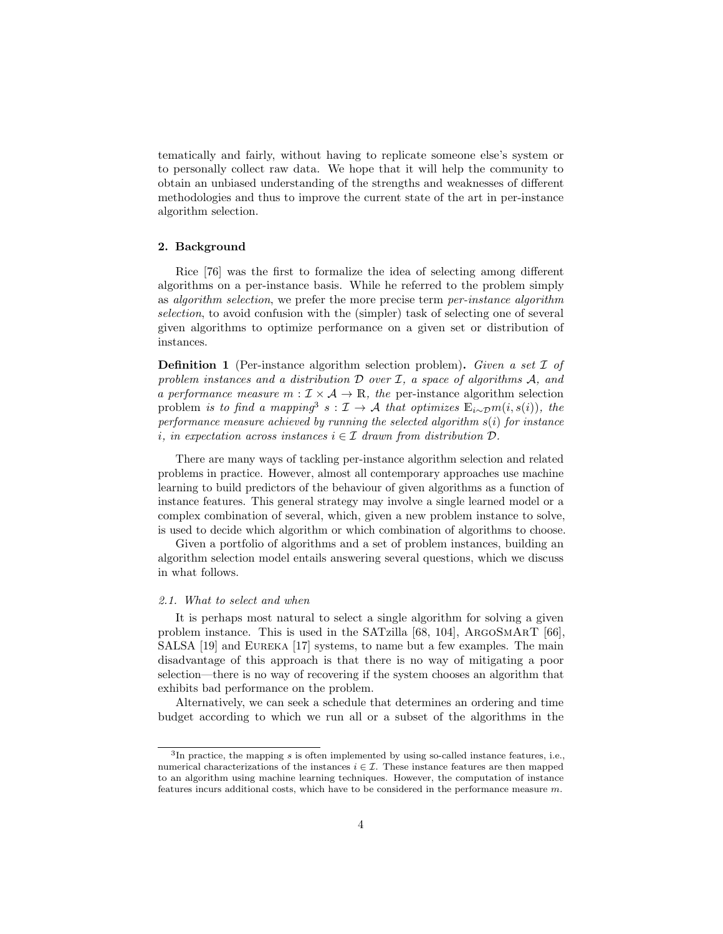tematically and fairly, without having to replicate someone else's system or to personally collect raw data. We hope that it will help the community to obtain an unbiased understanding of the strengths and weaknesses of different methodologies and thus to improve the current state of the art in per-instance algorithm selection.

# 2. Background

Rice [\[76\]](#page-29-1) was the first to formalize the idea of selecting among different algorithms on a per-instance basis. While he referred to the problem simply as algorithm selection, we prefer the more precise term per-instance algorithm selection, to avoid confusion with the (simpler) task of selecting one of several given algorithms to optimize performance on a given set or distribution of instances.

**Definition 1** (Per-instance algorithm selection problem). Given a set  $\mathcal I$  of problem instances and a distribution  $\mathcal D$  over  $\mathcal I$ , a space of algorithms  $\mathcal A$ , and a performance measure  $m: \mathcal{I} \times \mathcal{A} \rightarrow \mathbb{R}$ , the per-instance algorithm selection problem is to find a mapping<sup>[3](#page-3-0)</sup>  $s: \mathcal{I} \to \mathcal{A}$  that optimizes  $\mathbb{E}_{i \sim \mathcal{D}} m(i, s(i))$ , the performance measure achieved by running the selected algorithm  $s(i)$  for instance i, in expectation across instances  $i \in \mathcal{I}$  drawn from distribution  $\mathcal{D}$ .

There are many ways of tackling per-instance algorithm selection and related problems in practice. However, almost all contemporary approaches use machine learning to build predictors of the behaviour of given algorithms as a function of instance features. This general strategy may involve a single learned model or a complex combination of several, which, given a new problem instance to solve, is used to decide which algorithm or which combination of algorithms to choose.

Given a portfolio of algorithms and a set of problem instances, building an algorithm selection model entails answering several questions, which we discuss in what follows.

#### 2.1. What to select and when

It is perhaps most natural to select a single algorithm for solving a given problem instance. This is used in the SATzilla [\[68,](#page-28-1) [104\]](#page-31-1), ArgoSmArT [\[66\]](#page-28-2), SALSA [\[19\]](#page-24-0) and Eureka [\[17\]](#page-24-1) systems, to name but a few examples. The main disadvantage of this approach is that there is no way of mitigating a poor selection—there is no way of recovering if the system chooses an algorithm that exhibits bad performance on the problem.

Alternatively, we can seek a schedule that determines an ordering and time budget according to which we run all or a subset of the algorithms in the

<span id="page-3-0"></span> ${}^{3}$ In practice, the mapping s is often implemented by using so-called instance features, i.e., numerical characterizations of the instances  $i \in \mathcal{I}$ . These instance features are then mapped to an algorithm using machine learning techniques. However, the computation of instance features incurs additional costs, which have to be considered in the performance measure m.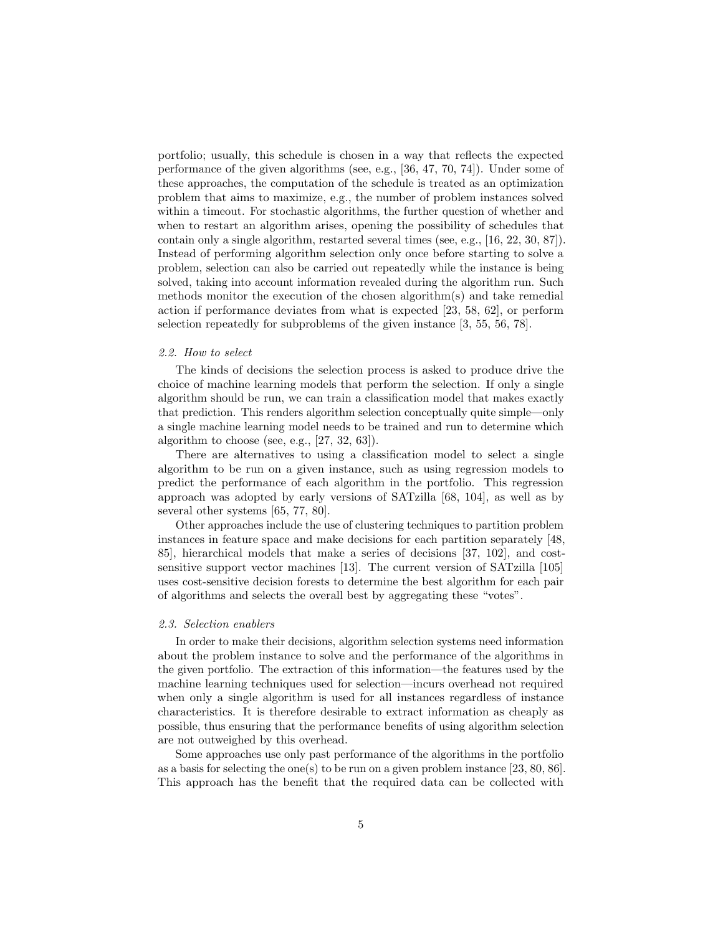portfolio; usually, this schedule is chosen in a way that reflects the expected performance of the given algorithms (see, e.g., [\[36,](#page-26-0) [47,](#page-27-0) [70,](#page-29-0) [74\]](#page-29-2)). Under some of these approaches, the computation of the schedule is treated as an optimization problem that aims to maximize, e.g., the number of problem instances solved within a timeout. For stochastic algorithms, the further question of whether and when to restart an algorithm arises, opening the possibility of schedules that contain only a single algorithm, restarted several times (see, e.g., [\[16,](#page-24-2) [22,](#page-24-3) [30,](#page-25-2) [87\]](#page-30-1)). Instead of performing algorithm selection only once before starting to solve a problem, selection can also be carried out repeatedly while the instance is being solved, taking into account information revealed during the algorithm run. Such methods monitor the execution of the chosen algorithm(s) and take remedial action if performance deviates from what is expected [\[23,](#page-25-3) [58,](#page-28-3) [62\]](#page-28-4), or perform selection repeatedly for subproblems of the given instance [\[3,](#page-23-1) [55,](#page-27-1) [56,](#page-27-2) [78\]](#page-29-3).

# <span id="page-4-0"></span>2.2. How to select

The kinds of decisions the selection process is asked to produce drive the choice of machine learning models that perform the selection. If only a single algorithm should be run, we can train a classification model that makes exactly that prediction. This renders algorithm selection conceptually quite simple—only a single machine learning model needs to be trained and run to determine which algorithm to choose (see, e.g., [\[27,](#page-25-4) [32,](#page-25-5) [63\]](#page-28-5)).

There are alternatives to using a classification model to select a single algorithm to be run on a given instance, such as using regression models to predict the performance of each algorithm in the portfolio. This regression approach was adopted by early versions of SATzilla [\[68,](#page-28-1) [104\]](#page-31-1), as well as by several other systems [\[65,](#page-28-6) [77,](#page-29-4) [80\]](#page-29-5).

Other approaches include the use of clustering techniques to partition problem instances in feature space and make decisions for each partition separately [\[48,](#page-27-3) [85\]](#page-30-2), hierarchical models that make a series of decisions [\[37,](#page-26-1) [102\]](#page-31-2), and costsensitive support vector machines [\[13\]](#page-24-4). The current version of SATzilla [\[105\]](#page-31-3) uses cost-sensitive decision forests to determine the best algorithm for each pair of algorithms and selects the overall best by aggregating these "votes".

#### 2.3. Selection enablers

In order to make their decisions, algorithm selection systems need information about the problem instance to solve and the performance of the algorithms in the given portfolio. The extraction of this information—the features used by the machine learning techniques used for selection—incurs overhead not required when only a single algorithm is used for all instances regardless of instance characteristics. It is therefore desirable to extract information as cheaply as possible, thus ensuring that the performance benefits of using algorithm selection are not outweighed by this overhead.

Some approaches use only past performance of the algorithms in the portfolio as a basis for selecting the one(s) to be run on a given problem instance [\[23,](#page-25-3) [80,](#page-29-5) [86\]](#page-30-3). This approach has the benefit that the required data can be collected with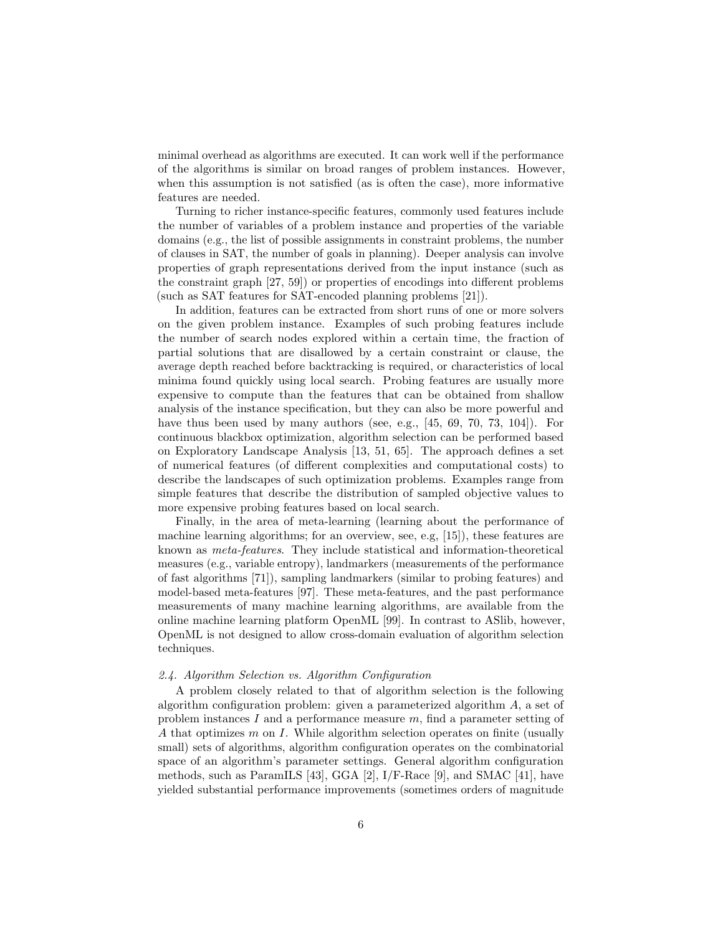minimal overhead as algorithms are executed. It can work well if the performance of the algorithms is similar on broad ranges of problem instances. However, when this assumption is not satisfied (as is often the case), more informative features are needed.

Turning to richer instance-specific features, commonly used features include the number of variables of a problem instance and properties of the variable domains (e.g., the list of possible assignments in constraint problems, the number of clauses in SAT, the number of goals in planning). Deeper analysis can involve properties of graph representations derived from the input instance (such as the constraint graph [\[27,](#page-25-4) [59\]](#page-28-7)) or properties of encodings into different problems (such as SAT features for SAT-encoded planning problems [\[21\]](#page-24-5)).

In addition, features can be extracted from short runs of one or more solvers on the given problem instance. Examples of such probing features include the number of search nodes explored within a certain time, the fraction of partial solutions that are disallowed by a certain constraint or clause, the average depth reached before backtracking is required, or characteristics of local minima found quickly using local search. Probing features are usually more expensive to compute than the features that can be obtained from shallow analysis of the instance specification, but they can also be more powerful and have thus been used by many authors (see, e.g., [\[45,](#page-26-2) [69,](#page-29-6) [70,](#page-29-0) [73,](#page-29-7) [104\]](#page-31-1)). For continuous blackbox optimization, algorithm selection can be performed based on Exploratory Landscape Analysis [\[13,](#page-24-4) [51,](#page-27-4) [65\]](#page-28-6). The approach defines a set of numerical features (of different complexities and computational costs) to describe the landscapes of such optimization problems. Examples range from simple features that describe the distribution of sampled objective values to more expensive probing features based on local search.

Finally, in the area of meta-learning (learning about the performance of machine learning algorithms; for an overview, see, e.g, [\[15\]](#page-24-6)), these features are known as meta-features. They include statistical and information-theoretical measures (e.g., variable entropy), landmarkers (measurements of the performance of fast algorithms [\[71\]](#page-29-8)), sampling landmarkers (similar to probing features) and model-based meta-features [\[97\]](#page-31-4). These meta-features, and the past performance measurements of many machine learning algorithms, are available from the online machine learning platform OpenML [\[99\]](#page-31-5). In contrast to ASlib, however, OpenML is not designed to allow cross-domain evaluation of algorithm selection techniques.

# 2.4. Algorithm Selection vs. Algorithm Configuration

A problem closely related to that of algorithm selection is the following algorithm configuration problem: given a parameterized algorithm A, a set of problem instances I and a performance measure  $m$ , find a parameter setting of A that optimizes  $m$  on  $I$ . While algorithm selection operates on finite (usually small) sets of algorithms, algorithm configuration operates on the combinatorial space of an algorithm's parameter settings. General algorithm configuration methods, such as ParamILS [\[43\]](#page-26-3), GGA [\[2\]](#page-23-2), I/F-Race [\[9\]](#page-23-3), and SMAC [\[41\]](#page-26-4), have yielded substantial performance improvements (sometimes orders of magnitude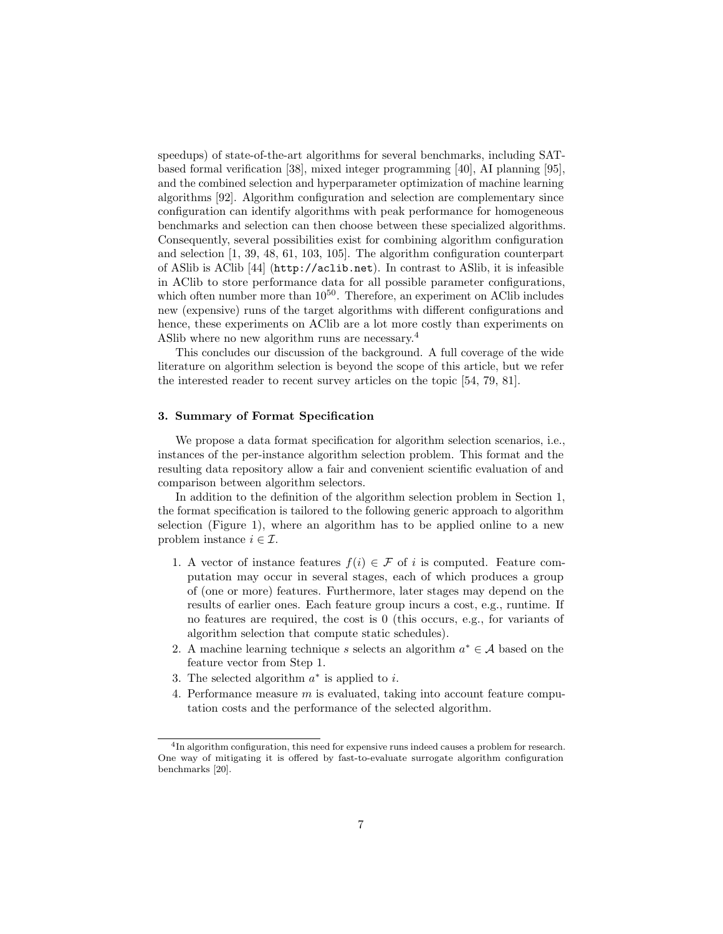speedups) of state-of-the-art algorithms for several benchmarks, including SATbased formal verification [\[38\]](#page-26-5), mixed integer programming [\[40\]](#page-26-6), AI planning [\[95\]](#page-31-6), and the combined selection and hyperparameter optimization of machine learning algorithms [\[92\]](#page-30-0). Algorithm configuration and selection are complementary since configuration can identify algorithms with peak performance for homogeneous benchmarks and selection can then choose between these specialized algorithms. Consequently, several possibilities exist for combining algorithm configuration and selection [\[1,](#page-23-4) [39,](#page-26-7) [48,](#page-27-3) [61,](#page-28-0) [103,](#page-31-7) [105\]](#page-31-3). The algorithm configuration counterpart of ASlib is AClib [\[44\]](#page-26-8) (<http://aclib.net>). In contrast to ASlib, it is infeasible in AClib to store performance data for all possible parameter configurations, which often number more than  $10^{50}$ . Therefore, an experiment on AClib includes new (expensive) runs of the target algorithms with different configurations and hence, these experiments on AClib are a lot more costly than experiments on ASlib where no new algorithm runs are necessary.[4](#page-6-1)

This concludes our discussion of the background. A full coverage of the wide literature on algorithm selection is beyond the scope of this article, but we refer the interested reader to recent survey articles on the topic [\[54,](#page-27-5) [79,](#page-29-9) [81\]](#page-30-4).

# <span id="page-6-0"></span>3. Summary of Format Specification

We propose a data format specification for algorithm selection scenarios, i.e., instances of the per-instance algorithm selection problem. This format and the resulting data repository allow a fair and convenient scientific evaluation of and comparison between algorithm selectors.

In addition to the definition of the algorithm selection problem in Section [1,](#page-1-1) the format specification is tailored to the following generic approach to algorithm selection (Figure [1\)](#page-7-0), where an algorithm has to be applied online to a new problem instance  $i \in \mathcal{I}$ .

- 1. A vector of instance features  $f(i) \in \mathcal{F}$  of i is computed. Feature computation may occur in several stages, each of which produces a group of (one or more) features. Furthermore, later stages may depend on the results of earlier ones. Each feature group incurs a cost, e.g., runtime. If no features are required, the cost is 0 (this occurs, e.g., for variants of algorithm selection that compute static schedules).
- 2. A machine learning technique s selects an algorithm  $a^* \in \mathcal{A}$  based on the feature vector from Step 1.
- 3. The selected algorithm  $a^*$  is applied to *i*.
- 4. Performance measure m is evaluated, taking into account feature computation costs and the performance of the selected algorithm.

<span id="page-6-1"></span><sup>4</sup> In algorithm configuration, this need for expensive runs indeed causes a problem for research. One way of mitigating it is offered by fast-to-evaluate surrogate algorithm configuration benchmarks [\[20\]](#page-24-7).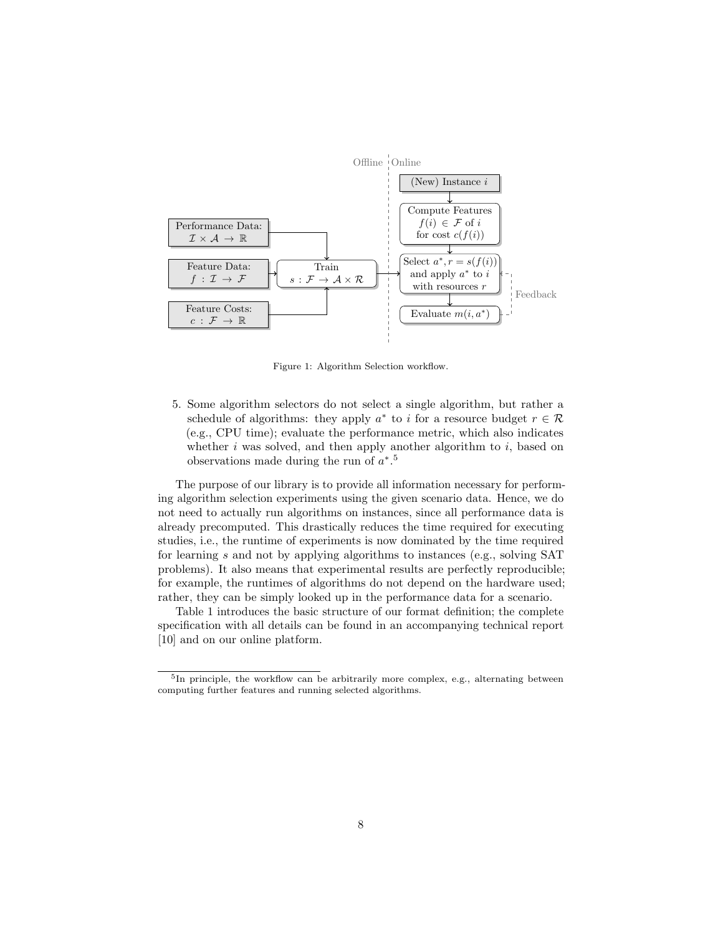<span id="page-7-0"></span>

Figure 1: Algorithm Selection workflow.

5. Some algorithm selectors do not select a single algorithm, but rather a schedule of algorithms: they apply  $a^*$  to i for a resource budget  $r \in \mathcal{R}$ (e.g., CPU time); evaluate the performance metric, which also indicates whether  $i$  was solved, and then apply another algorithm to  $i$ , based on observations made during the run of  $a^*$ .<sup>[5](#page-7-1)</sup>

The purpose of our library is to provide all information necessary for performing algorithm selection experiments using the given scenario data. Hence, we do not need to actually run algorithms on instances, since all performance data is already precomputed. This drastically reduces the time required for executing studies, i.e., the runtime of experiments is now dominated by the time required for learning s and not by applying algorithms to instances (e.g., solving SAT problems). It also means that experimental results are perfectly reproducible; for example, the runtimes of algorithms do not depend on the hardware used; rather, they can be simply looked up in the performance data for a scenario.

Table [1](#page-8-1) introduces the basic structure of our format definition; the complete specification with all details can be found in an accompanying technical report [\[10\]](#page-23-5) and on our online platform.

<span id="page-7-1"></span><sup>&</sup>lt;sup>5</sup>In principle, the workflow can be arbitrarily more complex, e.g., alternating between computing further features and running selected algorithms.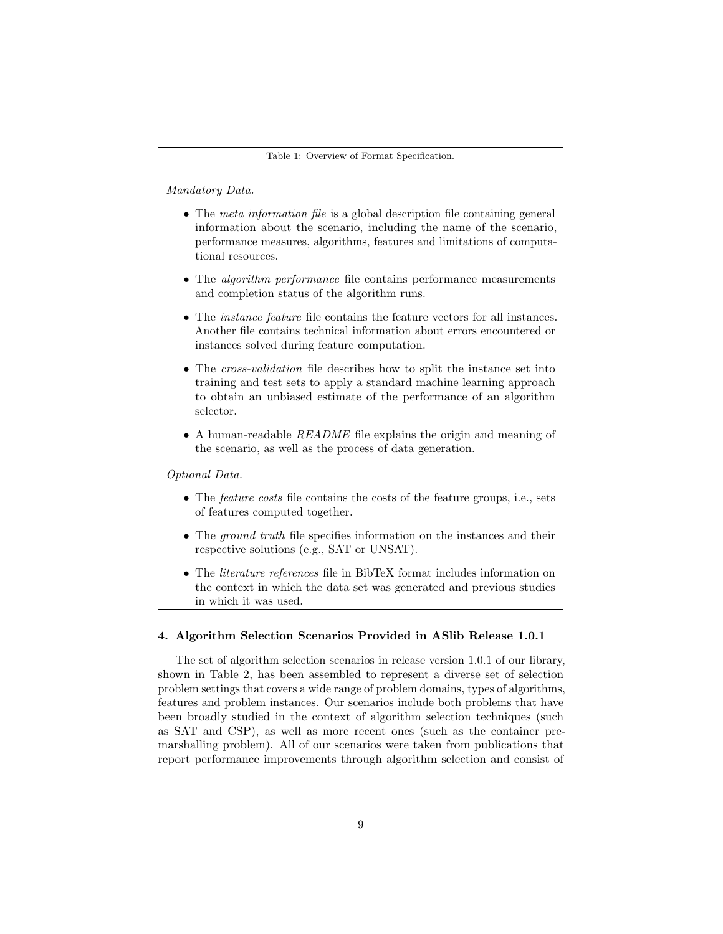<span id="page-8-1"></span>Table 1: Overview of Format Specification.

Mandatory Data.

- The meta information file is a global description file containing general information about the scenario, including the name of the scenario, performance measures, algorithms, features and limitations of computational resources.
- The *algorithm performance* file contains performance measurements and completion status of the algorithm runs.
- The *instance feature* file contains the feature vectors for all instances. Another file contains technical information about errors encountered or instances solved during feature computation.
- The *cross-validation* file describes how to split the instance set into training and test sets to apply a standard machine learning approach to obtain an unbiased estimate of the performance of an algorithm selector.
- A human-readable README file explains the origin and meaning of the scenario, as well as the process of data generation.

Optional Data.

- The *feature costs* file contains the costs of the feature groups, i.e., sets of features computed together.
- The *ground truth* file specifies information on the instances and their respective solutions (e.g., SAT or UNSAT).
- The *literature references* file in BibTeX format includes information on the context in which the data set was generated and previous studies in which it was used.

# <span id="page-8-0"></span>4. Algorithm Selection Scenarios Provided in ASlib Release 1.0.1

The set of algorithm selection scenarios in release version 1.0.1 of our library, shown in Table [2,](#page-9-0) has been assembled to represent a diverse set of selection problem settings that covers a wide range of problem domains, types of algorithms, features and problem instances. Our scenarios include both problems that have been broadly studied in the context of algorithm selection techniques (such as SAT and CSP), as well as more recent ones (such as the container premarshalling problem). All of our scenarios were taken from publications that report performance improvements through algorithm selection and consist of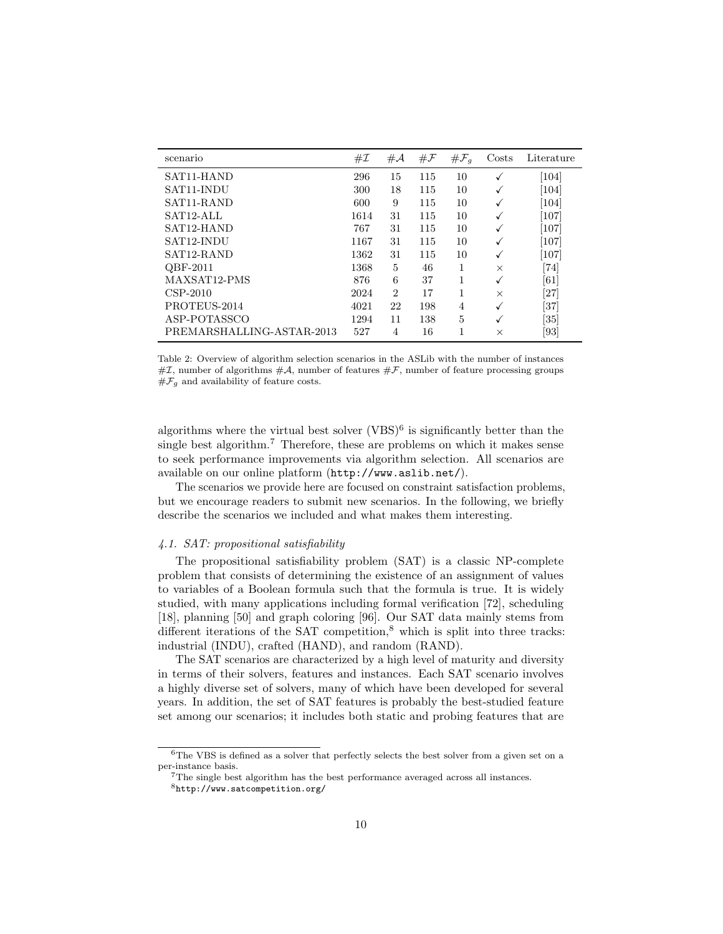<span id="page-9-0"></span>

| scenario                  | #I   | # $\mathcal{A}$ | $\#\mathcal{F}$ | $\# \mathcal{F}_q$ | Costs    | Literature                   |
|---------------------------|------|-----------------|-----------------|--------------------|----------|------------------------------|
| SAT <sub>11</sub> -HAND   | 296  | 15              | 115             | 10                 | √        | [104]                        |
| SAT11-INDU                | 300  | 18              | 115             | 10                 | √        | $\left[104\right]$           |
| SAT <sub>11</sub> -RAND   | 600  | 9               | 115             | 10                 | √        | $\left[104\right]$           |
| SAT <sub>12</sub> -ALL    | 1614 | 31              | 115             | 10                 | √        | [107]                        |
| SAT <sub>12</sub> -HAND   | 767  | 31              | 115             | 10                 | √        | [107]                        |
| SAT12-INDU                | 1167 | 31              | 115             | 10                 | √        | [107]                        |
| SAT12-RAND                | 1362 | 31              | 115             | 10                 | √        | $\left[107\right]$           |
| QBF-2011                  | 1368 | 5               | 46              | 1                  | $\times$ | $\left\lceil 74\right\rceil$ |
| MAXSAT12-PMS              | 876  | 6               | 37              | 1                  | √        | [61]                         |
| $CSP-2010$                | 2024 | $\overline{2}$  | 17              | 1                  | $\times$ | [27]                         |
| PROTEUS-2014              | 4021 | 22              | 198             | 4                  | √        | [37]                         |
| ASP-POTASSCO              | 1294 | 11              | 138             | 5                  | √        | $\left[ 35\right]$           |
| PREMARSHALLING-ASTAR-2013 | 527  | 4               | 16              | 1                  | $\times$ | [93]                         |

Table 2: Overview of algorithm selection scenarios in the ASLib with the number of instances  $\#\mathcal{I}$ , number of algorithms  $\#\mathcal{A}$ , number of features  $\#\mathcal{F}$ , number of feature processing groups  $#F<sub>g</sub>$  and availability of feature costs.

algorithms where the virtual best solver  $(VBS)^6$  $(VBS)^6$  is significantly better than the single best algorithm.<sup>[7](#page-9-2)</sup> Therefore, these are problems on which it makes sense to seek performance improvements via algorithm selection. All scenarios are available on our online platform (<http://www.aslib.net/>).

The scenarios we provide here are focused on constraint satisfaction problems, but we encourage readers to submit new scenarios. In the following, we briefly describe the scenarios we included and what makes them interesting.

#### 4.1. SAT: propositional satisfiability

The propositional satisfiability problem (SAT) is a classic NP-complete problem that consists of determining the existence of an assignment of values to variables of a Boolean formula such that the formula is true. It is widely studied, with many applications including formal verification [\[72\]](#page-29-10), scheduling [\[18\]](#page-24-8), planning [\[50\]](#page-27-6) and graph coloring [\[96\]](#page-31-8). Our SAT data mainly stems from different iterations of the SAT competition, $\delta$  which is split into three tracks: industrial (INDU), crafted (HAND), and random (RAND).

The SAT scenarios are characterized by a high level of maturity and diversity in terms of their solvers, features and instances. Each SAT scenario involves a highly diverse set of solvers, many of which have been developed for several years. In addition, the set of SAT features is probably the best-studied feature set among our scenarios; it includes both static and probing features that are

<span id="page-9-1"></span><sup>6</sup>The VBS is defined as a solver that perfectly selects the best solver from a given set on a per-instance basis.

<span id="page-9-2"></span> ${\rm ^7The}$  single best algorithm has the best performance averaged across all instances.

<span id="page-9-3"></span><sup>8</sup><http://www.satcompetition.org/>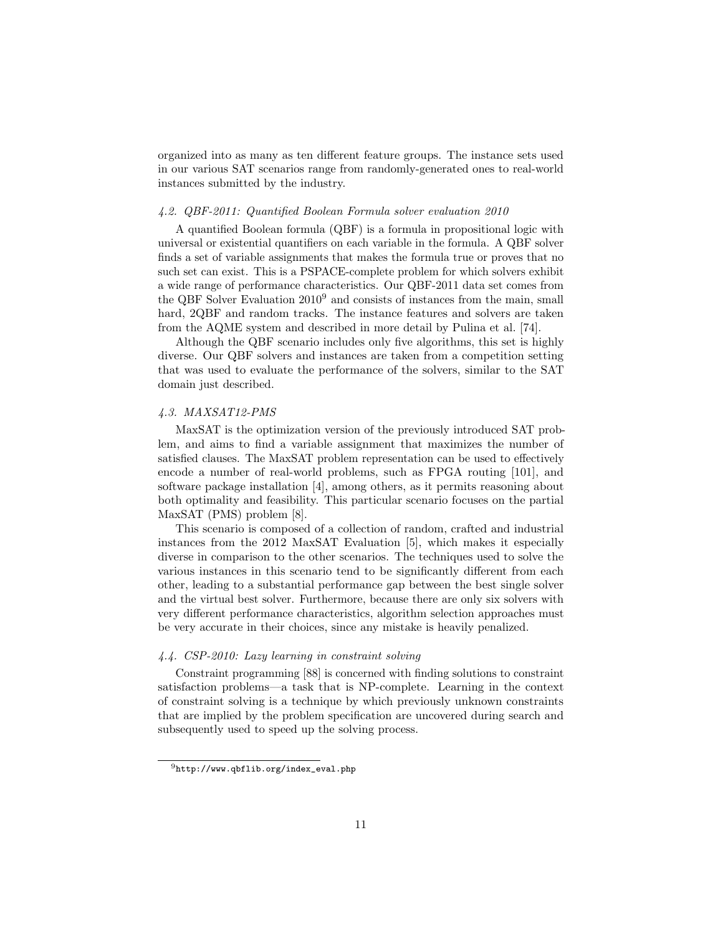organized into as many as ten different feature groups. The instance sets used in our various SAT scenarios range from randomly-generated ones to real-world instances submitted by the industry.

#### 4.2. QBF-2011: Quantified Boolean Formula solver evaluation 2010

A quantified Boolean formula (QBF) is a formula in propositional logic with universal or existential quantifiers on each variable in the formula. A QBF solver finds a set of variable assignments that makes the formula true or proves that no such set can exist. This is a PSPACE-complete problem for which solvers exhibit a wide range of performance characteristics. Our QBF-2011 data set comes from the QBF Solver Evaluation 2010[9](#page-10-0) and consists of instances from the main, small hard, 2QBF and random tracks. The instance features and solvers are taken from the AQME system and described in more detail by Pulina et al. [\[74\]](#page-29-2).

Although the QBF scenario includes only five algorithms, this set is highly diverse. Our QBF solvers and instances are taken from a competition setting that was used to evaluate the performance of the solvers, similar to the SAT domain just described.

## 4.3. MAXSAT12-PMS

MaxSAT is the optimization version of the previously introduced SAT problem, and aims to find a variable assignment that maximizes the number of satisfied clauses. The MaxSAT problem representation can be used to effectively encode a number of real-world problems, such as FPGA routing [\[101\]](#page-31-9), and software package installation [\[4\]](#page-23-6), among others, as it permits reasoning about both optimality and feasibility. This particular scenario focuses on the partial MaxSAT (PMS) problem [\[8\]](#page-23-7).

This scenario is composed of a collection of random, crafted and industrial instances from the 2012 MaxSAT Evaluation [\[5\]](#page-23-8), which makes it especially diverse in comparison to the other scenarios. The techniques used to solve the various instances in this scenario tend to be significantly different from each other, leading to a substantial performance gap between the best single solver and the virtual best solver. Furthermore, because there are only six solvers with very different performance characteristics, algorithm selection approaches must be very accurate in their choices, since any mistake is heavily penalized.

# 4.4. CSP-2010: Lazy learning in constraint solving

Constraint programming [\[88\]](#page-30-6) is concerned with finding solutions to constraint satisfaction problems—a task that is NP-complete. Learning in the context of constraint solving is a technique by which previously unknown constraints that are implied by the problem specification are uncovered during search and subsequently used to speed up the solving process.

<span id="page-10-0"></span> $^{9}$ [http://www.qbflib.org/index\\_eval.php](http://www.qbflib.org/index_eval.php)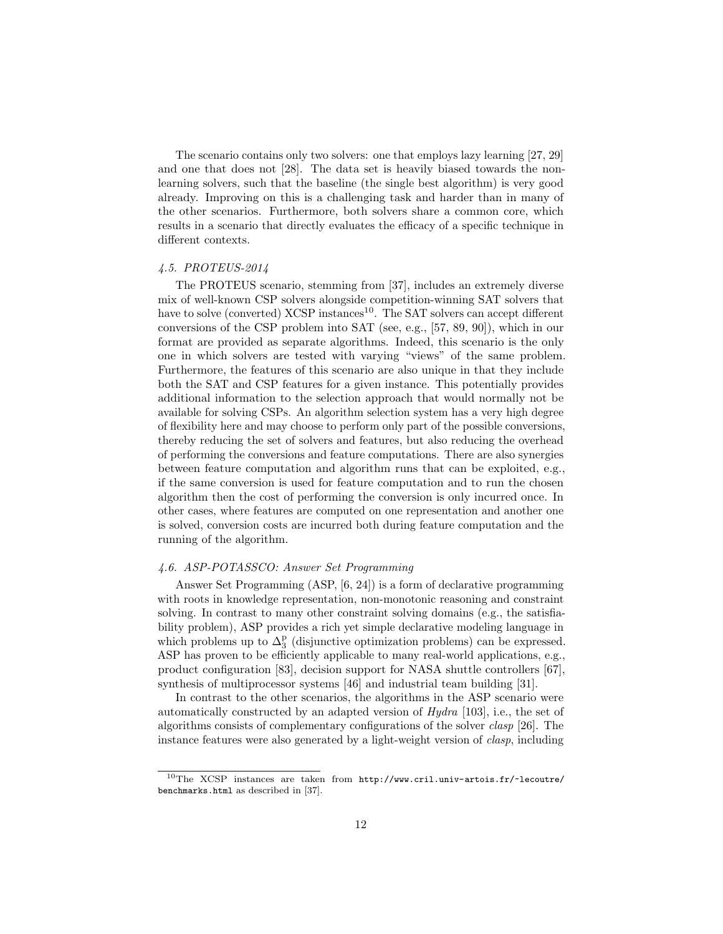The scenario contains only two solvers: one that employs lazy learning [\[27,](#page-25-4) [29\]](#page-25-6) and one that does not [\[28\]](#page-25-7). The data set is heavily biased towards the nonlearning solvers, such that the baseline (the single best algorithm) is very good already. Improving on this is a challenging task and harder than in many of the other scenarios. Furthermore, both solvers share a common core, which results in a scenario that directly evaluates the efficacy of a specific technique in different contexts.

# 4.5. PROTEUS-2014

The PROTEUS scenario, stemming from [\[37\]](#page-26-1), includes an extremely diverse mix of well-known CSP solvers alongside competition-winning SAT solvers that have to solve (converted)  $XCSP$  instances<sup>[10](#page-11-0)</sup>. The SAT solvers can accept different conversions of the CSP problem into SAT (see, e.g., [\[57,](#page-27-7) [89,](#page-30-7) [90\]](#page-30-8)), which in our format are provided as separate algorithms. Indeed, this scenario is the only one in which solvers are tested with varying "views" of the same problem. Furthermore, the features of this scenario are also unique in that they include both the SAT and CSP features for a given instance. This potentially provides additional information to the selection approach that would normally not be available for solving CSPs. An algorithm selection system has a very high degree of flexibility here and may choose to perform only part of the possible conversions, thereby reducing the set of solvers and features, but also reducing the overhead of performing the conversions and feature computations. There are also synergies between feature computation and algorithm runs that can be exploited, e.g., if the same conversion is used for feature computation and to run the chosen algorithm then the cost of performing the conversion is only incurred once. In other cases, where features are computed on one representation and another one is solved, conversion costs are incurred both during feature computation and the running of the algorithm.

# 4.6. ASP-POTASSCO: Answer Set Programming

Answer Set Programming (ASP, [\[6,](#page-23-9) [24\]](#page-25-8)) is a form of declarative programming with roots in knowledge representation, non-monotonic reasoning and constraint solving. In contrast to many other constraint solving domains (e.g., the satisfiability problem), ASP provides a rich yet simple declarative modeling language in which problems up to  $\Delta_3^p$  (disjunctive optimization problems) can be expressed. ASP has proven to be efficiently applicable to many real-world applications, e.g., product configuration [\[83\]](#page-30-9), decision support for NASA shuttle controllers [\[67\]](#page-28-8), synthesis of multiprocessor systems [\[46\]](#page-27-8) and industrial team building [\[31\]](#page-25-9).

In contrast to the other scenarios, the algorithms in the ASP scenario were automatically constructed by an adapted version of Hydra [\[103\]](#page-31-7), i.e., the set of algorithms consists of complementary configurations of the solver clasp [\[26\]](#page-25-10). The instance features were also generated by a light-weight version of clasp, including

<span id="page-11-0"></span> $10$ The XCSP instances are taken from [http://www.cril.univ-artois.fr/~lecoutre/](http://www.cril.univ-artois.fr/~lecoutre/benchmarks.html) [benchmarks.html](http://www.cril.univ-artois.fr/~lecoutre/benchmarks.html) as described in [\[37\]](#page-26-1).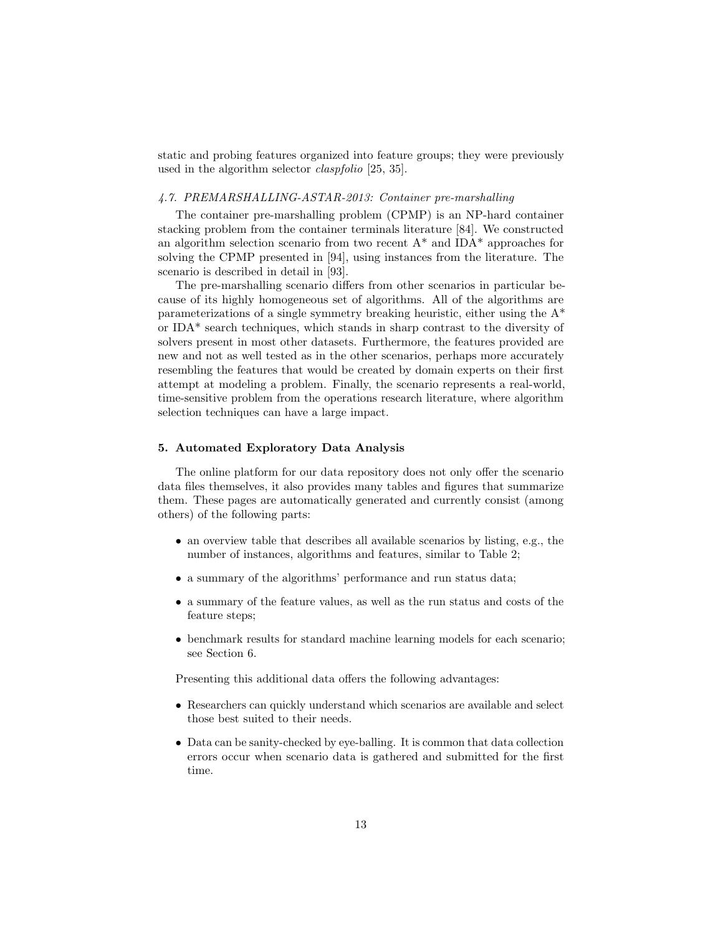static and probing features organized into feature groups; they were previously used in the algorithm selector claspfolio [\[25,](#page-25-1) [35\]](#page-26-9).

#### 4.7. PREMARSHALLING-ASTAR-2013: Container pre-marshalling

The container pre-marshalling problem (CPMP) is an NP-hard container stacking problem from the container terminals literature [\[84\]](#page-30-10). We constructed an algorithm selection scenario from two recent  $A^*$  and IDA\* approaches for solving the CPMP presented in [\[94\]](#page-31-10), using instances from the literature. The scenario is described in detail in [\[93\]](#page-30-5).

The pre-marshalling scenario differs from other scenarios in particular because of its highly homogeneous set of algorithms. All of the algorithms are parameterizations of a single symmetry breaking heuristic, either using the A\* or IDA\* search techniques, which stands in sharp contrast to the diversity of solvers present in most other datasets. Furthermore, the features provided are new and not as well tested as in the other scenarios, perhaps more accurately resembling the features that would be created by domain experts on their first attempt at modeling a problem. Finally, the scenario represents a real-world, time-sensitive problem from the operations research literature, where algorithm selection techniques can have a large impact.

## <span id="page-12-0"></span>5. Automated Exploratory Data Analysis

The online platform for our data repository does not only offer the scenario data files themselves, it also provides many tables and figures that summarize them. These pages are automatically generated and currently consist (among others) of the following parts:

- an overview table that describes all available scenarios by listing, e.g., the number of instances, algorithms and features, similar to Table [2;](#page-9-0)
- a summary of the algorithms' performance and run status data;
- a summary of the feature values, as well as the run status and costs of the feature steps;
- benchmark results for standard machine learning models for each scenario; see Section [6.](#page-16-0)

Presenting this additional data offers the following advantages:

- Researchers can quickly understand which scenarios are available and select those best suited to their needs.
- Data can be sanity-checked by eye-balling. It is common that data collection errors occur when scenario data is gathered and submitted for the first time.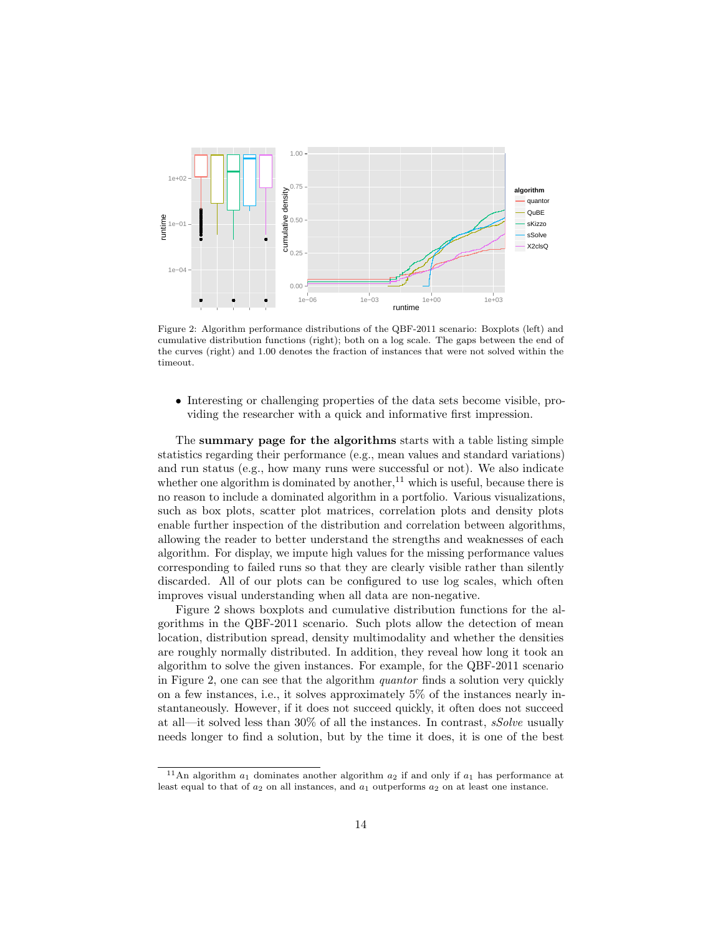<span id="page-13-1"></span>

Figure 2: Algorithm performance distributions of the QBF-2011 scenario: Boxplots (left) and cumulative distribution functions (right); both on a log scale. The gaps between the end of the curves (right) and 1.00 denotes the fraction of instances that were not solved within the timeout.

• Interesting or challenging properties of the data sets become visible, providing the researcher with a quick and informative first impression.

The summary page for the algorithms starts with a table listing simple statistics regarding their performance (e.g., mean values and standard variations) and run status (e.g., how many runs were successful or not). We also indicate whether one algorithm is dominated by another,  $11$  which is useful, because there is no reason to include a dominated algorithm in a portfolio. Various visualizations, such as box plots, scatter plot matrices, correlation plots and density plots enable further inspection of the distribution and correlation between algorithms, allowing the reader to better understand the strengths and weaknesses of each algorithm. For display, we impute high values for the missing performance values corresponding to failed runs so that they are clearly visible rather than silently discarded. All of our plots can be configured to use log scales, which often improves visual understanding when all data are non-negative.

Figure [2](#page-13-1) shows boxplots and cumulative distribution functions for the algorithms in the QBF-2011 scenario. Such plots allow the detection of mean location, distribution spread, density multimodality and whether the densities are roughly normally distributed. In addition, they reveal how long it took an algorithm to solve the given instances. For example, for the QBF-2011 scenario in Figure [2,](#page-13-1) one can see that the algorithm quantor finds a solution very quickly on a few instances, i.e., it solves approximately 5% of the instances nearly instantaneously. However, if it does not succeed quickly, it often does not succeed at all—it solved less than  $30\%$  of all the instances. In contrast, *sSolve* usually needs longer to find a solution, but by the time it does, it is one of the best

<span id="page-13-0"></span><sup>&</sup>lt;sup>11</sup>An algorithm  $a_1$  dominates another algorithm  $a_2$  if and only if  $a_1$  has performance at least equal to that of  $a_2$  on all instances, and  $a_1$  outperforms  $a_2$  on at least one instance.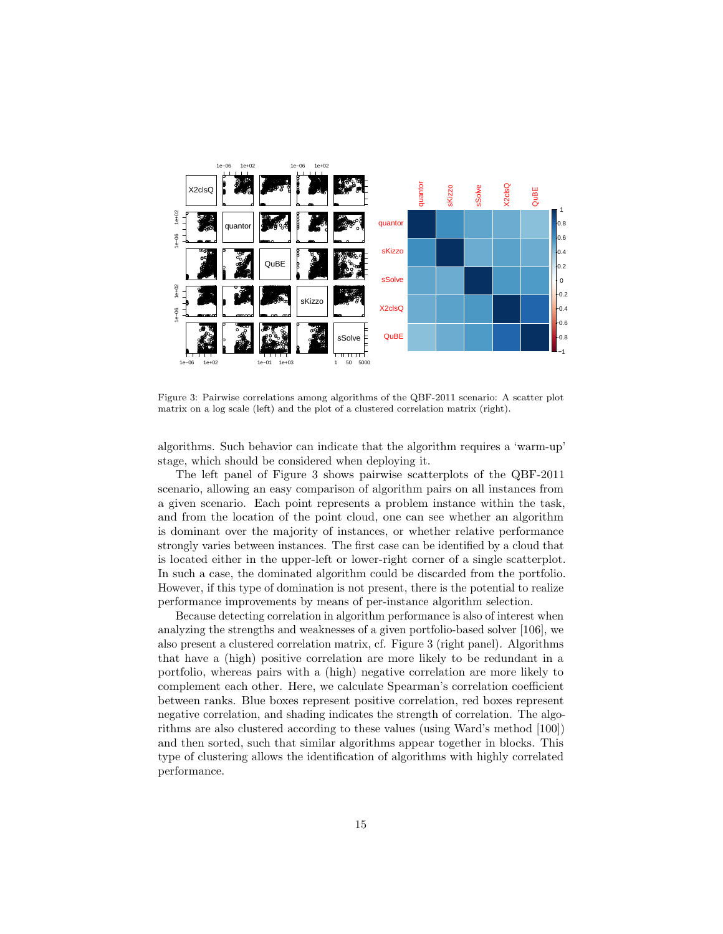<span id="page-14-0"></span>

Figure 3: Pairwise correlations among algorithms of the QBF-2011 scenario: A scatter plot matrix on a log scale (left) and the plot of a clustered correlation matrix (right).

algorithms. Such behavior can indicate that the algorithm requires a 'warm-up' stage, which should be considered when deploying it.

The left panel of Figure 3 shows pairwise scatterplots of the QBF-2011 scenario, allowing an easy comparison of algorithm pairs on all instances from a given scenario. Each point represents a problem instance within the task, and from the location of the point cloud, one can see whether an algorithm is dominant over the majority of instances, or whether relative performance strongly varies between instances. The first case can be identified by a cloud that is located either in the upper-left or lower-right corner of a single scatterplot. In such a case, the dominated algorithm could be discarded from the portfolio. However, if this type of domination is not present, there is the potential to realize performance improvements by means of per-instance algorithm selection.

Because detecting correlation in algorithm performance is also of interest when analyzing the strengths and weaknesses of a given portfolio-based solver [106], we also present a clustered correlation matrix, cf. Figure 3 (right panel). Algorithms that have a (high) positive correlation are more likely to be redundant in a portfolio, whereas pairs with a (high) negative correlation are more likely to complement each other. Here, we calculate Spearman's correlation coefficient between ranks. Blue boxes represent positive correlation, red boxes represent negative correlation, and shading indicates the strength of correlation. The algorithms are also clustered according to these values (using Ward's method [100]) and then sorted, such that similar algorithms appear together in blocks. This type of clustering allows the identification of algorithms with highly correlated performance.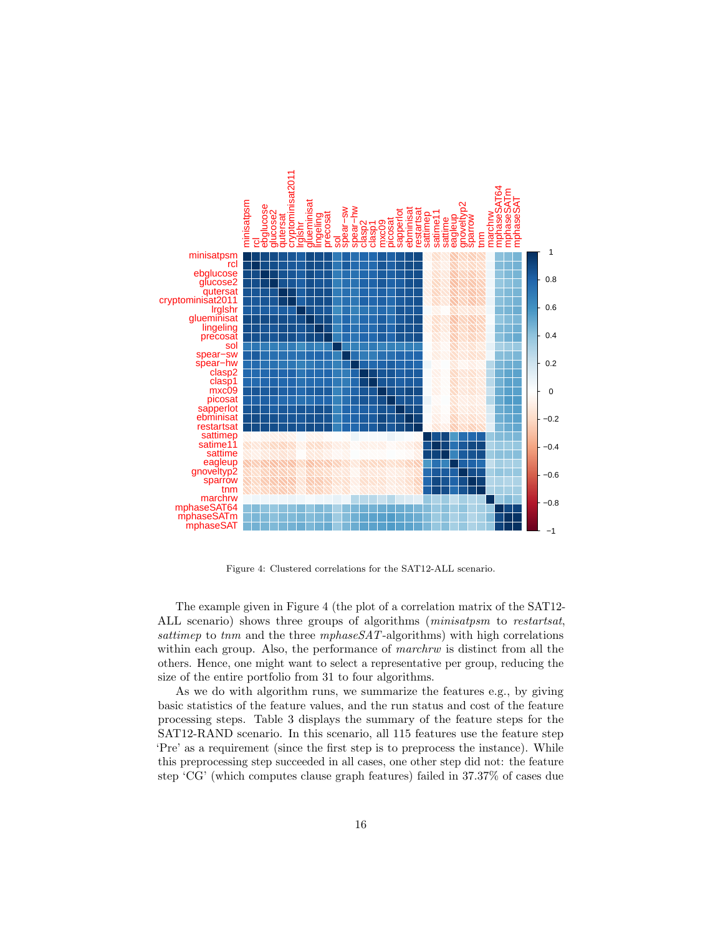<span id="page-15-0"></span>

Figure 4: Clustered correlations for the SAT12-ALL scenario.

The example given in Figure [4](#page-15-0) (the plot of a correlation matrix of the SAT12- ALL scenario) shows three groups of algorithms (minisatpsm to restartsat, sattimep to the and the three mphaseSAT-algorithms) with high correlations within each group. Also, the performance of *marchrw* is distinct from all the others. Hence, one might want to select a representative per group, reducing the size of the entire portfolio from 31 to four algorithms.

As we do with algorithm runs, we summarize the features e.g., by giving basic statistics of the feature values, and the run status and cost of the feature processing steps. Table [3](#page-16-1) displays the summary of the feature steps for the SAT12-RAND scenario. In this scenario, all 115 features use the feature step 'Pre' as a requirement (since the first step is to preprocess the instance). While this preprocessing step succeeded in all cases, one other step did not: the feature step 'CG' (which computes clause graph features) failed in 37.37% of cases due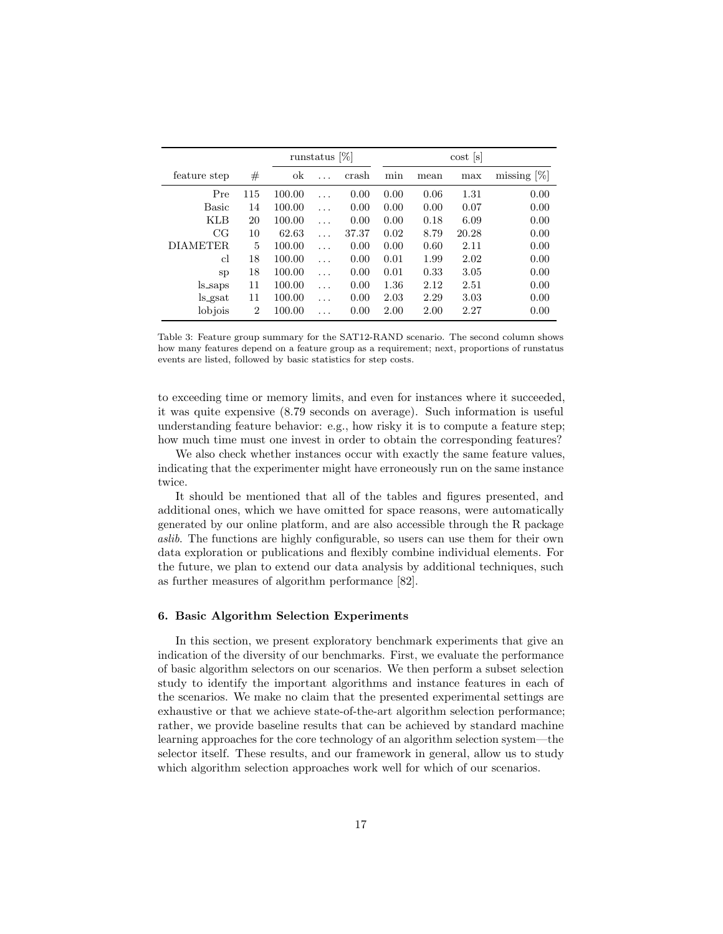<span id="page-16-1"></span>

|                  |                | runstatus $[\%]$ |   |       | $\cos t$ $ s $ |      |       |                |
|------------------|----------------|------------------|---|-------|----------------|------|-------|----------------|
| feature step     | #              | ok               |   | crash | min            | mean | max   | missing $[\%]$ |
| Pre              | 115            | 100.00           | . | 0.00  | 0.00           | 0.06 | 1.31  | 0.00           |
| <b>Basic</b>     | 14             | 100.00           | . | 0.00  | 0.00           | 0.00 | 0.07  | 0.00           |
| <b>KLB</b>       | 20             | 100.00           | . | 0.00  | 0.00           | 0.18 | 6.09  | 0.00           |
| CG               | 10             | 62.63            | . | 37.37 | 0.02           | 8.79 | 20.28 | 0.00           |
| DIAMETER.        | 5              | 100.00           | . | 0.00  | 0.00           | 0.60 | 2.11  | 0.00           |
| cl               | 18             | 100.00           | . | 0.00  | 0.01           | 1.99 | 2.02  | 0.00           |
| <sub>S</sub> p   | 18             | 100.00           | . | 0.00  | 0.01           | 0.33 | 3.05  | 0.00           |
| ls_saps          | 11             | 100.00           | . | 0.00  | 1.36           | 2.12 | 2.51  | 0.00           |
| $\log_{\rm sat}$ | 11             | 100.00           | . | 0.00  | 2.03           | 2.29 | 3.03  | 0.00           |
| lobjois          | $\overline{2}$ | 100.00           |   | 0.00  | 2.00           | 2.00 | 2.27  | 0.00           |

Table 3: Feature group summary for the SAT12-RAND scenario. The second column shows how many features depend on a feature group as a requirement; next, proportions of runstatus events are listed, followed by basic statistics for step costs.

to exceeding time or memory limits, and even for instances where it succeeded, it was quite expensive (8.79 seconds on average). Such information is useful understanding feature behavior: e.g., how risky it is to compute a feature step; how much time must one invest in order to obtain the corresponding features?

We also check whether instances occur with exactly the same feature values, indicating that the experimenter might have erroneously run on the same instance twice.

It should be mentioned that all of the tables and figures presented, and additional ones, which we have omitted for space reasons, were automatically generated by our online platform, and are also accessible through the R package aslib. The functions are highly configurable, so users can use them for their own data exploration or publications and flexibly combine individual elements. For the future, we plan to extend our data analysis by additional techniques, such as further measures of algorithm performance [\[82\]](#page-30-11).

# <span id="page-16-0"></span>6. Basic Algorithm Selection Experiments

In this section, we present exploratory benchmark experiments that give an indication of the diversity of our benchmarks. First, we evaluate the performance of basic algorithm selectors on our scenarios. We then perform a subset selection study to identify the important algorithms and instance features in each of the scenarios. We make no claim that the presented experimental settings are exhaustive or that we achieve state-of-the-art algorithm selection performance; rather, we provide baseline results that can be achieved by standard machine learning approaches for the core technology of an algorithm selection system—the selector itself. These results, and our framework in general, allow us to study which algorithm selection approaches work well for which of our scenarios.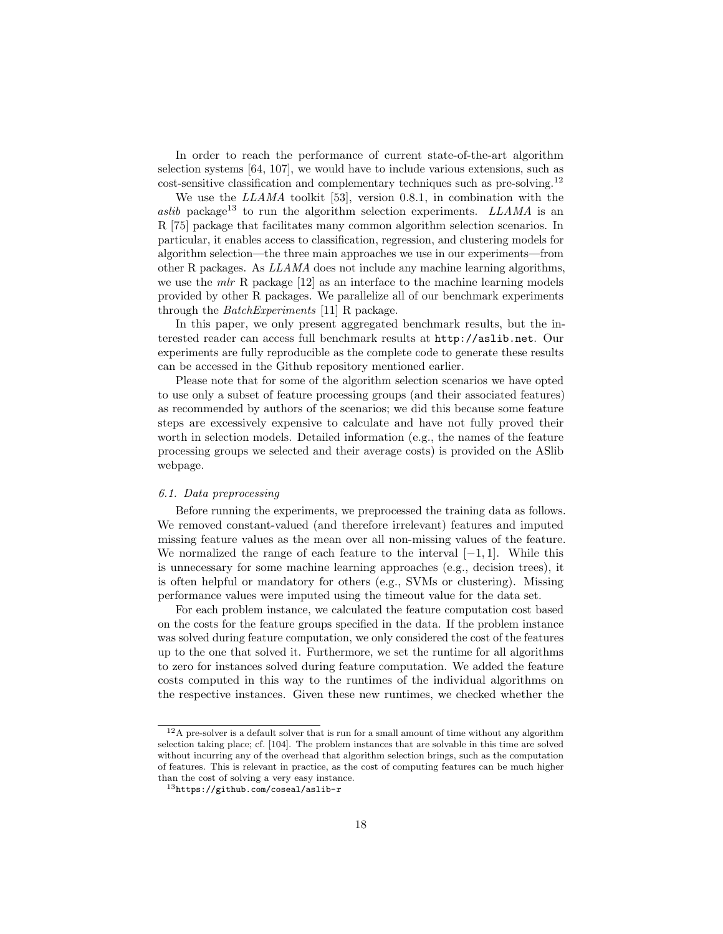In order to reach the performance of current state-of-the-art algorithm selection systems [\[64,](#page-28-9) [107\]](#page-32-1), we would have to include various extensions, such as cost-sensitive classification and complementary techniques such as pre-solving.[12](#page-17-0)

We use the LLAMA toolkit [\[53\]](#page-27-9), version 0.8.1, in combination with the aslib package<sup>[13](#page-17-1)</sup> to run the algorithm selection experiments. LLAMA is an R [\[75\]](#page-29-11) package that facilitates many common algorithm selection scenarios. In particular, it enables access to classification, regression, and clustering models for algorithm selection—the three main approaches we use in our experiments—from other R packages. As LLAMA does not include any machine learning algorithms, we use the  $mlr$  R package  $[12]$  as an interface to the machine learning models provided by other R packages. We parallelize all of our benchmark experiments through the BatchExperiments [\[11\]](#page-23-10) R package.

In this paper, we only present aggregated benchmark results, but the interested reader can access full benchmark results at <http://aslib.net>. Our experiments are fully reproducible as the complete code to generate these results can be accessed in the Github repository mentioned earlier.

Please note that for some of the algorithm selection scenarios we have opted to use only a subset of feature processing groups (and their associated features) as recommended by authors of the scenarios; we did this because some feature steps are excessively expensive to calculate and have not fully proved their worth in selection models. Detailed information (e.g., the names of the feature processing groups we selected and their average costs) is provided on the ASlib webpage.

# 6.1. Data preprocessing

Before running the experiments, we preprocessed the training data as follows. We removed constant-valued (and therefore irrelevant) features and imputed missing feature values as the mean over all non-missing values of the feature. We normalized the range of each feature to the interval  $[-1, 1]$ . While this is unnecessary for some machine learning approaches (e.g., decision trees), it is often helpful or mandatory for others (e.g., SVMs or clustering). Missing performance values were imputed using the timeout value for the data set.

For each problem instance, we calculated the feature computation cost based on the costs for the feature groups specified in the data. If the problem instance was solved during feature computation, we only considered the cost of the features up to the one that solved it. Furthermore, we set the runtime for all algorithms to zero for instances solved during feature computation. We added the feature costs computed in this way to the runtimes of the individual algorithms on the respective instances. Given these new runtimes, we checked whether the

<span id="page-17-0"></span> $^{12}{\rm A}$  pre-solver is a default solver that is run for a small amount of time without any algorithm selection taking place; cf. [\[104\]](#page-31-1). The problem instances that are solvable in this time are solved without incurring any of the overhead that algorithm selection brings, such as the computation of features. This is relevant in practice, as the cost of computing features can be much higher than the cost of solving a very easy instance.

<span id="page-17-1"></span><sup>13</sup><https://github.com/coseal/aslib-r>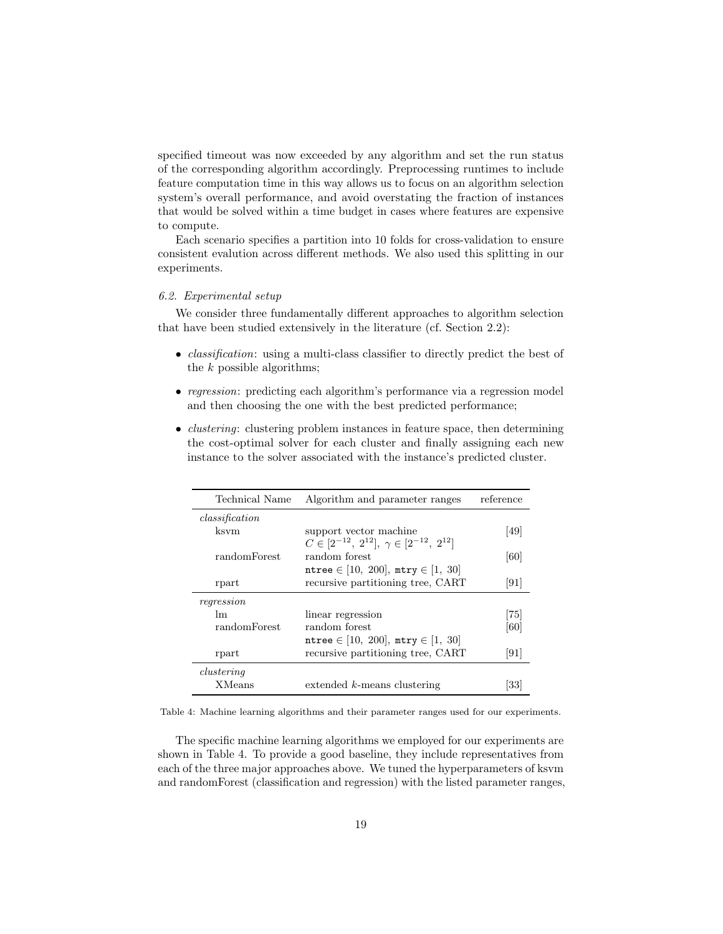specified timeout was now exceeded by any algorithm and set the run status of the corresponding algorithm accordingly. Preprocessing runtimes to include feature computation time in this way allows us to focus on an algorithm selection system's overall performance, and avoid overstating the fraction of instances that would be solved within a time budget in cases where features are expensive to compute.

Each scenario specifies a partition into 10 folds for cross-validation to ensure consistent evalution across different methods. We also used this splitting in our experiments.

# 6.2. Experimental setup

We consider three fundamentally different approaches to algorithm selection that have been studied extensively in the literature (cf. Section [2.2\)](#page-4-0):

- *classification*: using a multi-class classifier to directly predict the best of the  $k$  possible algorithms;
- regression: predicting each algorithm's performance via a regression model and then choosing the one with the best predicted performance;
- *clustering*: clustering problem instances in feature space, then determining the cost-optimal solver for each cluster and finally assigning each new instance to the solver associated with the instance's predicted cluster.

<span id="page-18-0"></span>

| Technical Name | Algorithm and parameter ranges                          | reference                    |
|----------------|---------------------------------------------------------|------------------------------|
| classification |                                                         |                              |
| ksvm           | support vector machine                                  | 49                           |
|                | $C \in [2^{-12}, 2^{12}], \gamma \in [2^{-12}, 2^{12}]$ |                              |
| randomForest   | random forest                                           | [60]                         |
|                | ntree $\in$ [10, 200], mtry $\in$ [1, 30]               |                              |
| rpart          | recursive partitioning tree, CART                       | [91]                         |
| regression     |                                                         |                              |
| lm             | linear regression                                       | 75                           |
| randomForest   | random forest                                           | [60]                         |
|                | ntree $\in$ [10, 200], mtry $\in$ [1, 30]               |                              |
| rpart          | recursive partitioning tree, CART                       | $\left\lceil 91\right\rceil$ |
| clustering     |                                                         |                              |
| <b>XMeans</b>  | $extended k-means clustering$                           | 33                           |

Table 4: Machine learning algorithms and their parameter ranges used for our experiments.

The specific machine learning algorithms we employed for our experiments are shown in Table [4.](#page-18-0) To provide a good baseline, they include representatives from each of the three major approaches above. We tuned the hyperparameters of ksvm and randomForest (classification and regression) with the listed parameter ranges,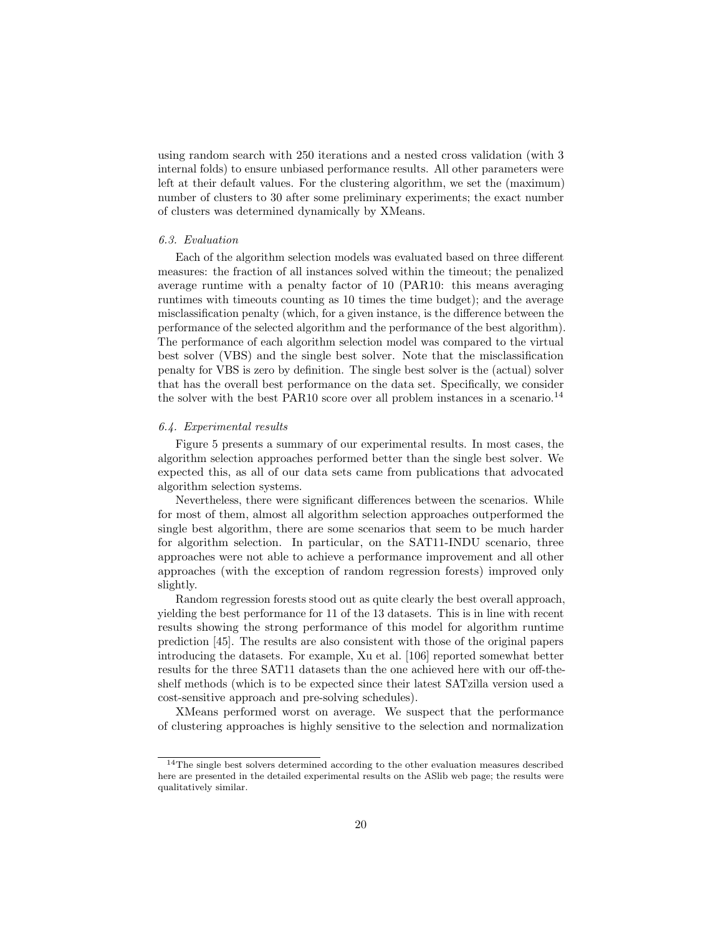using random search with 250 iterations and a nested cross validation (with 3 internal folds) to ensure unbiased performance results. All other parameters were left at their default values. For the clustering algorithm, we set the (maximum) number of clusters to 30 after some preliminary experiments; the exact number of clusters was determined dynamically by XMeans.

# 6.3. Evaluation

Each of the algorithm selection models was evaluated based on three different measures: the fraction of all instances solved within the timeout; the penalized average runtime with a penalty factor of 10 (PAR10: this means averaging runtimes with timeouts counting as 10 times the time budget); and the average misclassification penalty (which, for a given instance, is the difference between the performance of the selected algorithm and the performance of the best algorithm). The performance of each algorithm selection model was compared to the virtual best solver (VBS) and the single best solver. Note that the misclassification penalty for VBS is zero by definition. The single best solver is the (actual) solver that has the overall best performance on the data set. Specifically, we consider the solver with the best PAR10 score over all problem instances in a scenario.<sup>[14](#page-19-0)</sup>

## 6.4. Experimental results

Figure [5](#page-20-0) presents a summary of our experimental results. In most cases, the algorithm selection approaches performed better than the single best solver. We expected this, as all of our data sets came from publications that advocated algorithm selection systems.

Nevertheless, there were significant differences between the scenarios. While for most of them, almost all algorithm selection approaches outperformed the single best algorithm, there are some scenarios that seem to be much harder for algorithm selection. In particular, on the SAT11-INDU scenario, three approaches were not able to achieve a performance improvement and all other approaches (with the exception of random regression forests) improved only slightly.

Random regression forests stood out as quite clearly the best overall approach, yielding the best performance for 11 of the 13 datasets. This is in line with recent results showing the strong performance of this model for algorithm runtime prediction [\[45\]](#page-26-2). The results are also consistent with those of the original papers introducing the datasets. For example, Xu et al. [\[106\]](#page-32-0) reported somewhat better results for the three SAT11 datasets than the one achieved here with our off-theshelf methods (which is to be expected since their latest SATzilla version used a cost-sensitive approach and pre-solving schedules).

XMeans performed worst on average. We suspect that the performance of clustering approaches is highly sensitive to the selection and normalization

<span id="page-19-0"></span> $^{14}\mathrm{The}$  single best solvers determined according to the other evaluation measures described here are presented in the detailed experimental results on the ASlib web page; the results were qualitatively similar.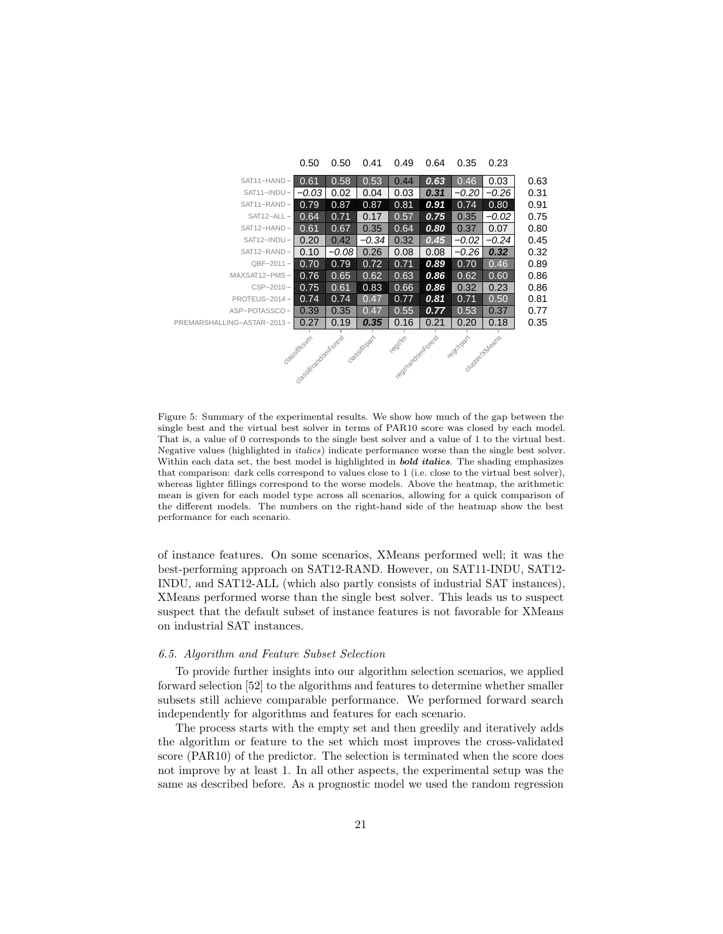<span id="page-20-0"></span>

|                                                                                                                    | 0.50    | 0.50    | 0.41    | 0.49 | 0.64 | 0.35    | 0.23    |      |  |
|--------------------------------------------------------------------------------------------------------------------|---------|---------|---------|------|------|---------|---------|------|--|
| SAT11-HAND-                                                                                                        | 0.61    | 0.58    | 0.53    | 0.44 | 0.63 | 0.46    | 0.03    | 0.63 |  |
| SAT11-INDU-                                                                                                        | $-0.03$ | 0.02    | 0.04    | 0.03 | 0.31 | -0.20   | -0.26   | 0.31 |  |
| SAT11-RAND-                                                                                                        | 0.79    | 0.87    | 0.87    | 0.81 | 0.91 | 0.74    | 0.80    | 0.91 |  |
| SAT12-ALL-                                                                                                         | 0.64    | 0.71    | 0.17    | 0.57 | 0.75 | 0.35    | $-0.02$ | 0.75 |  |
| SAT12-HAND-                                                                                                        | 0.61    | 0.67    | 0.35    | 0.64 | 0.80 | 0.37    | 0.07    | 0.80 |  |
| SAT12-INDU-                                                                                                        | 0.20    | 0.42    | $-0.34$ | 0.32 | 0.45 | $-0.02$ | $-0.24$ | 0.45 |  |
| SAT12-RAND-                                                                                                        | 0.10    | $-0.08$ | 0.26    | 0.08 | 0.08 | $-0.26$ | 0.32    | 0.32 |  |
| $QBF-2011 -$                                                                                                       | 0.70    | 0.79    | 0.72    | 0.71 | 0.89 | 0.70    | 0.46    | 0.89 |  |
| MAXSAT12-PMS-                                                                                                      | 0.76    | 0.65    | 0.62    | 0.63 | 0.86 | 0.62    | 0.60    | 0.86 |  |
| $CSP-2010 -$                                                                                                       | 0.75    | 0.61    | 0.83    | 0.66 | 0.86 | 0.32    | 0.23    | 0.86 |  |
| PROTEUS-2014-                                                                                                      | 0.74    | 0.74    | 0.47    | 0.77 | 0.81 | 0.71    | 0.50    | 0.81 |  |
| ASP-POTASSCO-                                                                                                      | 0.39    | 0.35    | 0.47    | 0.55 | 0.77 | 0.53    | 0.37    | 0.77 |  |
| PREMARSHALLING-ASTAR-2013-                                                                                         | 0.27    | 0.19    | 0.35    | 0.16 | 0.21 | 0.20    | 0.18    | 0.35 |  |
| desitingart<br>regilim<br>regtirandomkores.<br>regtingart<br>classification Road<br>Glassifiksum<br>olusier/Aheans |         |         |         |      |      |         |         |      |  |

Figure 5: Summary of the experimental results. We show how much of the gap between the single best and the virtual best solver in terms of PAR10 score was closed by each model. That is, a value of 0 corresponds to the single best solver and a value of 1 to the virtual best. Negative values (highlighted in italics) indicate performance worse than the single best solver. Within each data set, the best model is highlighted in **bold italics**. The shading emphasizes that comparison: dark cells correspond to values close to 1 (i.e. close to the virtual best solver), whereas lighter fillings correspond to the worse models. Above the heatmap, the arithmetic mean is given for each model type across all scenarios, allowing for a quick comparison of the different models. The numbers on the right-hand side of the heatmap show the best performance for each scenario.

of instance features. On some scenarios, XMeans performed well; it was the best-performing approach on SAT12-RAND. However, on SAT11-INDU, SAT12- INDU, and SAT12-ALL (which also partly consists of industrial SAT instances), XMeans performed worse than the single best solver. This leads us to suspect suspect that the default subset of instance features is not favorable for XMeans on industrial SAT instances.

# 6.5. Algorithm and Feature Subset Selection

To provide further insights into our algorithm selection scenarios, we applied forward selection [\[52\]](#page-27-11) to the algorithms and features to determine whether smaller subsets still achieve comparable performance. We performed forward search independently for algorithms and features for each scenario.

The process starts with the empty set and then greedily and iteratively adds the algorithm or feature to the set which most improves the cross-validated score (PAR10) of the predictor. The selection is terminated when the score does not improve by at least 1. In all other aspects, the experimental setup was the same as described before. As a prognostic model we used the random regression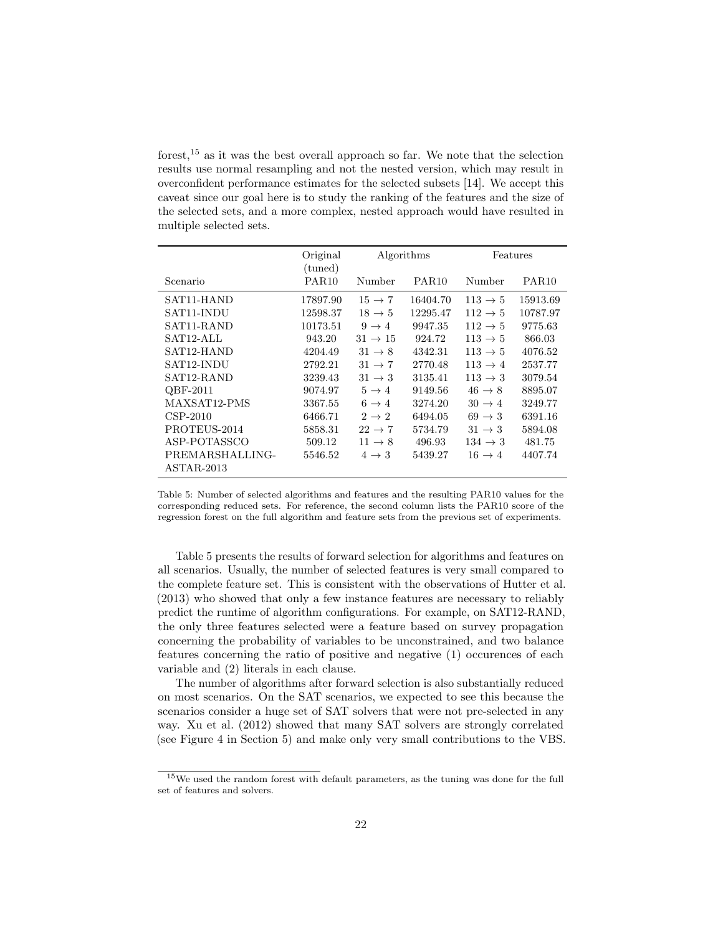forest,[15](#page-21-0) as it was the best overall approach so far. We note that the selection results use normal resampling and not the nested version, which may result in overconfident performance estimates for the selected subsets [\[14\]](#page-24-10). We accept this caveat since our goal here is to study the ranking of the features and the size of the selected sets, and a more complex, nested approach would have resulted in multiple selected sets.

<span id="page-21-1"></span>

|                                 | Original<br>(tuned) | Algorithms          |                   | Features            |                   |
|---------------------------------|---------------------|---------------------|-------------------|---------------------|-------------------|
| Scenario                        | PAR <sub>10</sub>   | Number              | PAR <sub>10</sub> | Number              | PAR <sub>10</sub> |
| SAT <sub>11</sub> -HAND         | 17897.90            | $15 \rightarrow 7$  | 16404.70          | $113 \rightarrow 5$ | 15913.69          |
| SAT11-INDU                      | 12598.37            | $18 \rightarrow 5$  | 12295.47          | $112 \rightarrow 5$ | 10787.97          |
| SAT11-RAND                      | 10173.51            | $9 \rightarrow 4$   | 9947.35           | $112 \rightarrow 5$ | 9775.63           |
| SAT <sub>12</sub> -ALL          | 943.20              | $31 \rightarrow 15$ | 924.72            | $113 \rightarrow 5$ | 866.03            |
| SAT <sub>12</sub> -HAND         | 4204.49             | $31 \rightarrow 8$  | 4342.31           | $113 \rightarrow 5$ | 4076.52           |
| SAT <sub>12</sub> -INDU         | 2792.21             | $31 \rightarrow 7$  | 2770.48           | $113 \rightarrow 4$ | 2537.77           |
| SAT12-RAND                      | 3239.43             | $31 \rightarrow 3$  | 3135.41           | $113 \rightarrow 3$ | 3079.54           |
| QBF-2011                        | 9074.97             | $5 \rightarrow 4$   | 9149.56           | $46 \rightarrow 8$  | 8895.07           |
| MAXSAT12-PMS                    | 3367.55             | $6 \rightarrow 4$   | 3274.20           | $30 \rightarrow 4$  | 3249.77           |
| $CSP-2010$                      | 6466.71             | $2 \rightarrow 2$   | 6494.05           | $69 \rightarrow 3$  | 6391.16           |
| PROTEUS-2014                    | 5858.31             | $22 \rightarrow 7$  | 5734.79           | $31 \rightarrow 3$  | 5894.08           |
| ASP-POTASSCO                    | 509.12              | $11 \rightarrow 8$  | 496.93            | $134 \rightarrow 3$ | 481.75            |
| PREMARSHALLING-<br>$ASTAR-2013$ | 5546.52             | $4 \rightarrow 3$   | 5439.27           | $16 \rightarrow 4$  | 4407.74           |
|                                 |                     |                     |                   |                     |                   |

Table 5: Number of selected algorithms and features and the resulting PAR10 values for the corresponding reduced sets. For reference, the second column lists the PAR10 score of the regression forest on the full algorithm and feature sets from the previous set of experiments.

Table [5](#page-21-1) presents the results of forward selection for algorithms and features on all scenarios. Usually, the number of selected features is very small compared to the complete feature set. This is consistent with the observations of [Hutter et al.](#page-26-10) [\(2013\)](#page-26-10) who showed that only a few instance features are necessary to reliably predict the runtime of algorithm configurations. For example, on SAT12-RAND, the only three features selected were a feature based on survey propagation concerning the probability of variables to be unconstrained, and two balance features concerning the ratio of positive and negative (1) occurences of each variable and (2) literals in each clause.

The number of algorithms after forward selection is also substantially reduced on most scenarios. On the SAT scenarios, we expected to see this because the scenarios consider a huge set of SAT solvers that were not pre-selected in any way. [Xu et al.](#page-32-0) [\(2012\)](#page-32-0) showed that many SAT solvers are strongly correlated (see Figure [4](#page-15-0) in Section [5\)](#page-12-0) and make only very small contributions to the VBS.

<span id="page-21-0"></span><sup>&</sup>lt;sup>15</sup>We used the random forest with default parameters, as the tuning was done for the full set of features and solvers.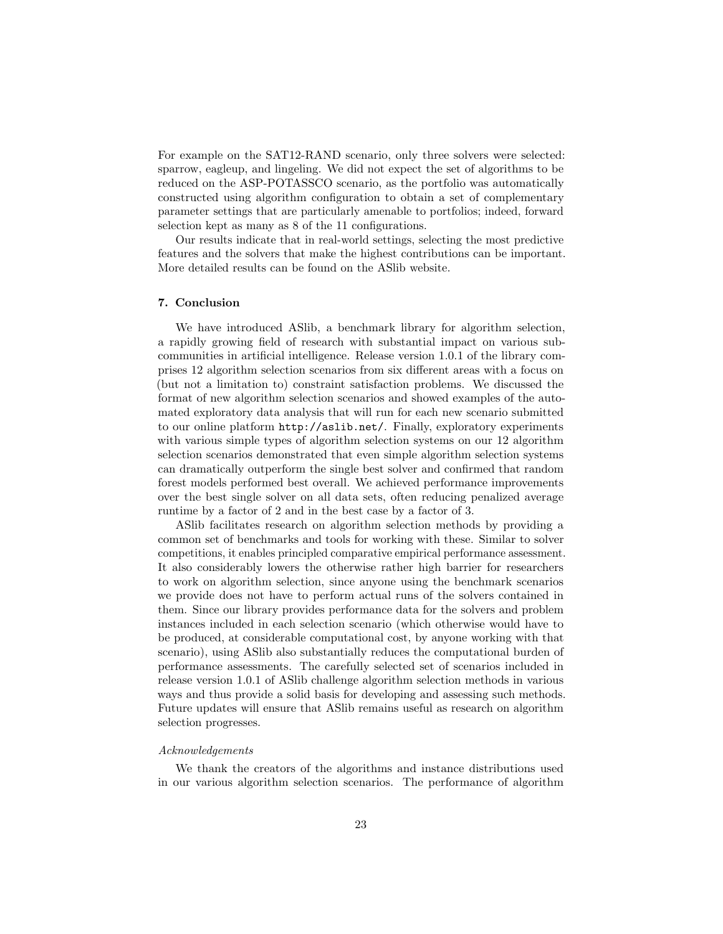For example on the SAT12-RAND scenario, only three solvers were selected: sparrow, eagleup, and lingeling. We did not expect the set of algorithms to be reduced on the ASP-POTASSCO scenario, as the portfolio was automatically constructed using algorithm configuration to obtain a set of complementary parameter settings that are particularly amenable to portfolios; indeed, forward selection kept as many as 8 of the 11 configurations.

Our results indicate that in real-world settings, selecting the most predictive features and the solvers that make the highest contributions can be important. More detailed results can be found on the ASlib website.

## 7. Conclusion

We have introduced ASlib, a benchmark library for algorithm selection, a rapidly growing field of research with substantial impact on various subcommunities in artificial intelligence. Release version 1.0.1 of the library comprises 12 algorithm selection scenarios from six different areas with a focus on (but not a limitation to) constraint satisfaction problems. We discussed the format of new algorithm selection scenarios and showed examples of the automated exploratory data analysis that will run for each new scenario submitted to our online platform <http://aslib.net/>. Finally, exploratory experiments with various simple types of algorithm selection systems on our 12 algorithm selection scenarios demonstrated that even simple algorithm selection systems can dramatically outperform the single best solver and confirmed that random forest models performed best overall. We achieved performance improvements over the best single solver on all data sets, often reducing penalized average runtime by a factor of 2 and in the best case by a factor of 3.

ASlib facilitates research on algorithm selection methods by providing a common set of benchmarks and tools for working with these. Similar to solver competitions, it enables principled comparative empirical performance assessment. It also considerably lowers the otherwise rather high barrier for researchers to work on algorithm selection, since anyone using the benchmark scenarios we provide does not have to perform actual runs of the solvers contained in them. Since our library provides performance data for the solvers and problem instances included in each selection scenario (which otherwise would have to be produced, at considerable computational cost, by anyone working with that scenario), using ASlib also substantially reduces the computational burden of performance assessments. The carefully selected set of scenarios included in release version 1.0.1 of ASlib challenge algorithm selection methods in various ways and thus provide a solid basis for developing and assessing such methods. Future updates will ensure that ASlib remains useful as research on algorithm selection progresses.

# Acknowledgements

We thank the creators of the algorithms and instance distributions used in our various algorithm selection scenarios. The performance of algorithm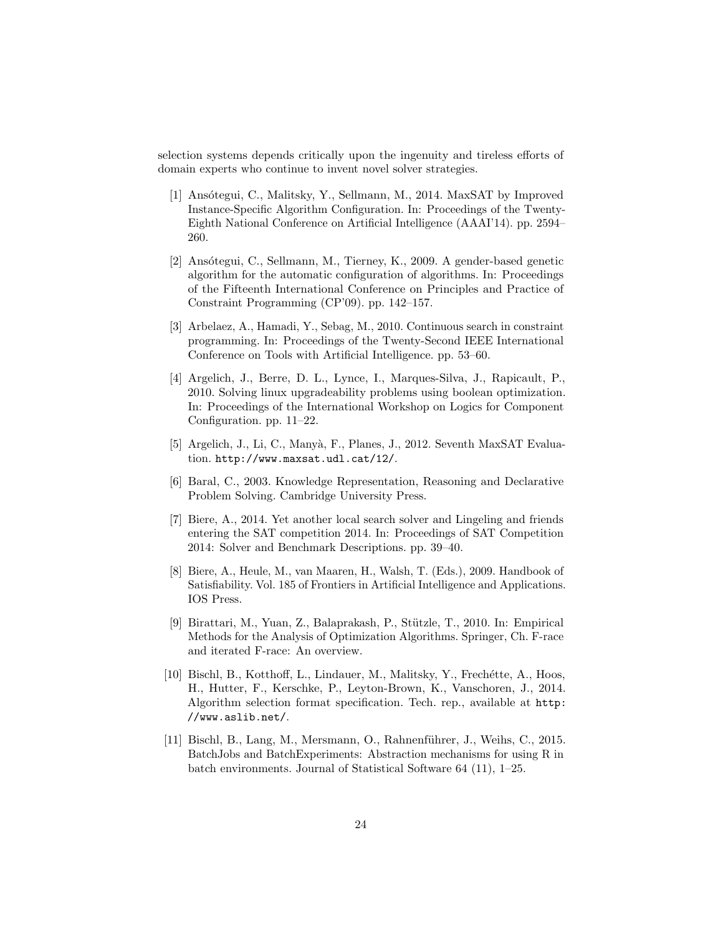selection systems depends critically upon the ingenuity and tireless efforts of domain experts who continue to invent novel solver strategies.

- <span id="page-23-4"></span>[1] Ansótegui, C., Malitsky, Y., Sellmann, M., 2014. MaxSAT by Improved Instance-Specific Algorithm Configuration. In: Proceedings of the Twenty-Eighth National Conference on Artificial Intelligence (AAAI'14). pp. 2594– 260.
- <span id="page-23-2"></span>[2] Ansótegui, C., Sellmann, M., Tierney, K., 2009. A gender-based genetic algorithm for the automatic configuration of algorithms. In: Proceedings of the Fifteenth International Conference on Principles and Practice of Constraint Programming (CP'09). pp. 142–157.
- <span id="page-23-1"></span>[3] Arbelaez, A., Hamadi, Y., Sebag, M., 2010. Continuous search in constraint programming. In: Proceedings of the Twenty-Second IEEE International Conference on Tools with Artificial Intelligence. pp. 53–60.
- <span id="page-23-6"></span>[4] Argelich, J., Berre, D. L., Lynce, I., Marques-Silva, J., Rapicault, P., 2010. Solving linux upgradeability problems using boolean optimization. In: Proceedings of the International Workshop on Logics for Component Configuration. pp. 11–22.
- <span id="page-23-8"></span>[5] Argelich, J., Li, C., Manyà, F., Planes, J., 2012. Seventh MaxSAT Evaluation. <http://www.maxsat.udl.cat/12/>.
- <span id="page-23-9"></span>[6] Baral, C., 2003. Knowledge Representation, Reasoning and Declarative Problem Solving. Cambridge University Press.
- <span id="page-23-0"></span>[7] Biere, A., 2014. Yet another local search solver and Lingeling and friends entering the SAT competition 2014. In: Proceedings of SAT Competition 2014: Solver and Benchmark Descriptions. pp. 39–40.
- <span id="page-23-7"></span>[8] Biere, A., Heule, M., van Maaren, H., Walsh, T. (Eds.), 2009. Handbook of Satisfiability. Vol. 185 of Frontiers in Artificial Intelligence and Applications. IOS Press.
- <span id="page-23-3"></span>[9] Birattari, M., Yuan, Z., Balaprakash, P., Stützle, T., 2010. In: Empirical Methods for the Analysis of Optimization Algorithms. Springer, Ch. F-race and iterated F-race: An overview.
- <span id="page-23-5"></span>[10] Bischl, B., Kotthoff, L., Lindauer, M., Malitsky, Y., Frechétte, A., Hoos, H., Hutter, F., Kerschke, P., Leyton-Brown, K., Vanschoren, J., 2014. Algorithm selection format specification. Tech. rep., available at [http:](http://www.aslib.net/) [//www.aslib.net/](http://www.aslib.net/).
- <span id="page-23-10"></span>[11] Bischl, B., Lang, M., Mersmann, O., Rahnenführer, J., Weihs, C., 2015. BatchJobs and BatchExperiments: Abstraction mechanisms for using R in batch environments. Journal of Statistical Software 64 (11), 1–25.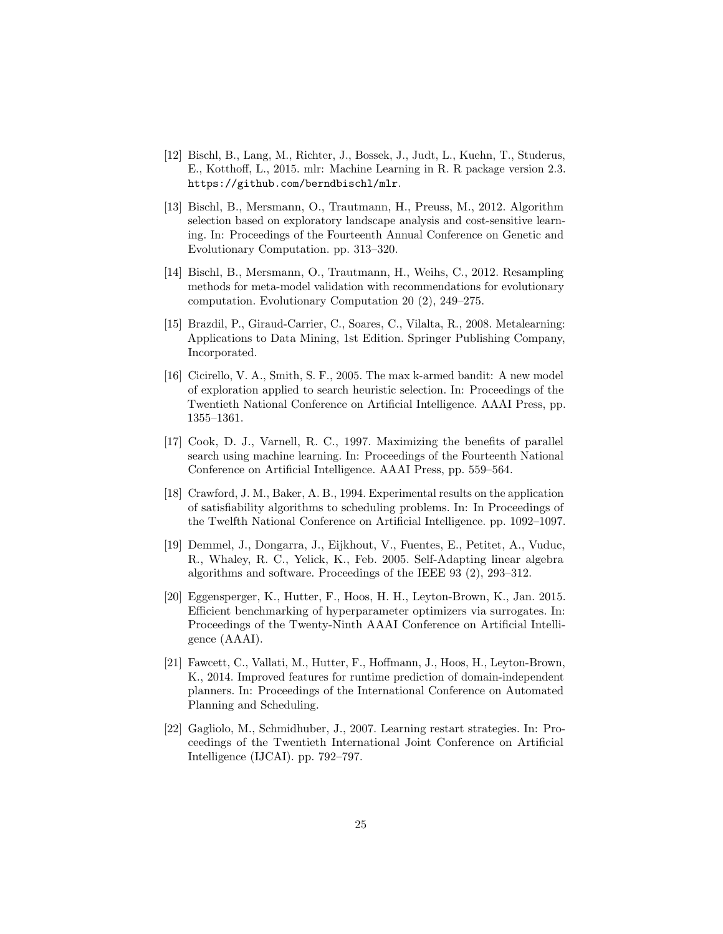- <span id="page-24-9"></span>[12] Bischl, B., Lang, M., Richter, J., Bossek, J., Judt, L., Kuehn, T., Studerus, E., Kotthoff, L., 2015. mlr: Machine Learning in R. R package version 2.3. <https://github.com/berndbischl/mlr>.
- <span id="page-24-4"></span>[13] Bischl, B., Mersmann, O., Trautmann, H., Preuss, M., 2012. Algorithm selection based on exploratory landscape analysis and cost-sensitive learning. In: Proceedings of the Fourteenth Annual Conference on Genetic and Evolutionary Computation. pp. 313–320.
- <span id="page-24-10"></span>[14] Bischl, B., Mersmann, O., Trautmann, H., Weihs, C., 2012. Resampling methods for meta-model validation with recommendations for evolutionary computation. Evolutionary Computation 20 (2), 249–275.
- <span id="page-24-6"></span>[15] Brazdil, P., Giraud-Carrier, C., Soares, C., Vilalta, R., 2008. Metalearning: Applications to Data Mining, 1st Edition. Springer Publishing Company, Incorporated.
- <span id="page-24-2"></span>[16] Cicirello, V. A., Smith, S. F., 2005. The max k-armed bandit: A new model of exploration applied to search heuristic selection. In: Proceedings of the Twentieth National Conference on Artificial Intelligence. AAAI Press, pp. 1355–1361.
- <span id="page-24-1"></span>[17] Cook, D. J., Varnell, R. C., 1997. Maximizing the benefits of parallel search using machine learning. In: Proceedings of the Fourteenth National Conference on Artificial Intelligence. AAAI Press, pp. 559–564.
- <span id="page-24-8"></span>[18] Crawford, J. M., Baker, A. B., 1994. Experimental results on the application of satisfiability algorithms to scheduling problems. In: In Proceedings of the Twelfth National Conference on Artificial Intelligence. pp. 1092–1097.
- <span id="page-24-0"></span>[19] Demmel, J., Dongarra, J., Eijkhout, V., Fuentes, E., Petitet, A., Vuduc, R., Whaley, R. C., Yelick, K., Feb. 2005. Self-Adapting linear algebra algorithms and software. Proceedings of the IEEE 93 (2), 293–312.
- <span id="page-24-7"></span>[20] Eggensperger, K., Hutter, F., Hoos, H. H., Leyton-Brown, K., Jan. 2015. Efficient benchmarking of hyperparameter optimizers via surrogates. In: Proceedings of the Twenty-Ninth AAAI Conference on Artificial Intelligence (AAAI).
- <span id="page-24-5"></span>[21] Fawcett, C., Vallati, M., Hutter, F., Hoffmann, J., Hoos, H., Leyton-Brown, K., 2014. Improved features for runtime prediction of domain-independent planners. In: Proceedings of the International Conference on Automated Planning and Scheduling.
- <span id="page-24-3"></span>[22] Gagliolo, M., Schmidhuber, J., 2007. Learning restart strategies. In: Proceedings of the Twentieth International Joint Conference on Artificial Intelligence (IJCAI). pp. 792–797.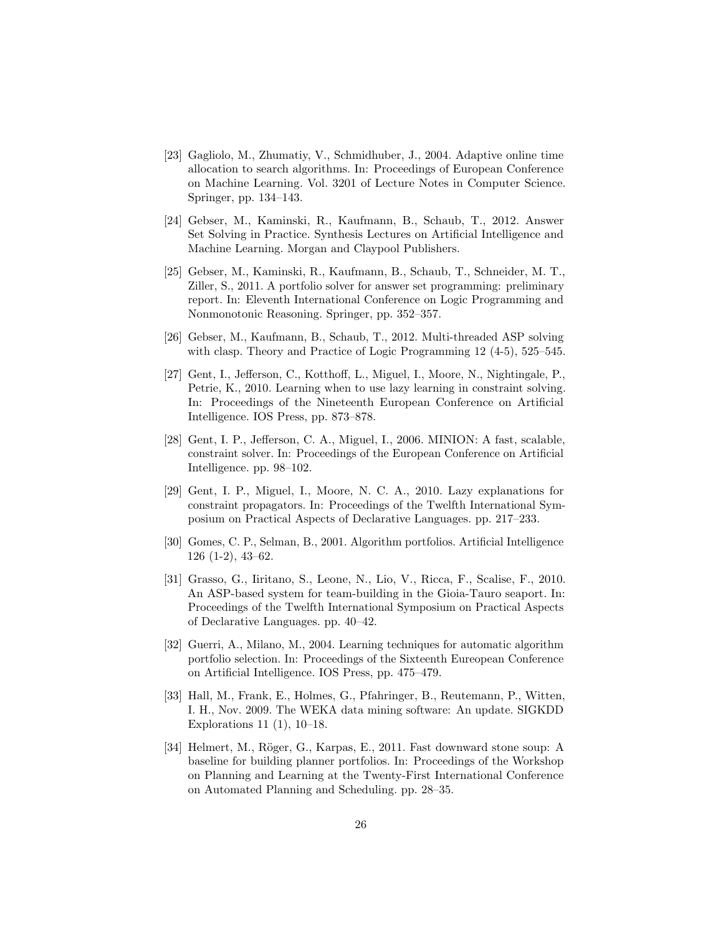- <span id="page-25-3"></span>[23] Gagliolo, M., Zhumatiy, V., Schmidhuber, J., 2004. Adaptive online time allocation to search algorithms. In: Proceedings of European Conference on Machine Learning. Vol. 3201 of Lecture Notes in Computer Science. Springer, pp. 134–143.
- <span id="page-25-8"></span>[24] Gebser, M., Kaminski, R., Kaufmann, B., Schaub, T., 2012. Answer Set Solving in Practice. Synthesis Lectures on Artificial Intelligence and Machine Learning. Morgan and Claypool Publishers.
- <span id="page-25-1"></span>[25] Gebser, M., Kaminski, R., Kaufmann, B., Schaub, T., Schneider, M. T., Ziller, S., 2011. A portfolio solver for answer set programming: preliminary report. In: Eleventh International Conference on Logic Programming and Nonmonotonic Reasoning. Springer, pp. 352–357.
- <span id="page-25-10"></span>[26] Gebser, M., Kaufmann, B., Schaub, T., 2012. Multi-threaded ASP solving with clasp. Theory and Practice of Logic Programming 12 (4-5), 525–545.
- <span id="page-25-4"></span>[27] Gent, I., Jefferson, C., Kotthoff, L., Miguel, I., Moore, N., Nightingale, P., Petrie, K., 2010. Learning when to use lazy learning in constraint solving. In: Proceedings of the Nineteenth European Conference on Artificial Intelligence. IOS Press, pp. 873–878.
- <span id="page-25-7"></span>[28] Gent, I. P., Jefferson, C. A., Miguel, I., 2006. MINION: A fast, scalable, constraint solver. In: Proceedings of the European Conference on Artificial Intelligence. pp. 98–102.
- <span id="page-25-6"></span>[29] Gent, I. P., Miguel, I., Moore, N. C. A., 2010. Lazy explanations for constraint propagators. In: Proceedings of the Twelfth International Symposium on Practical Aspects of Declarative Languages. pp. 217–233.
- <span id="page-25-2"></span>[30] Gomes, C. P., Selman, B., 2001. Algorithm portfolios. Artificial Intelligence 126 (1-2), 43–62.
- <span id="page-25-9"></span>[31] Grasso, G., Iiritano, S., Leone, N., Lio, V., Ricca, F., Scalise, F., 2010. An ASP-based system for team-building in the Gioia-Tauro seaport. In: Proceedings of the Twelfth International Symposium on Practical Aspects of Declarative Languages. pp. 40–42.
- <span id="page-25-5"></span>[32] Guerri, A., Milano, M., 2004. Learning techniques for automatic algorithm portfolio selection. In: Proceedings of the Sixteenth Eureopean Conference on Artificial Intelligence. IOS Press, pp. 475–479.
- <span id="page-25-11"></span>[33] Hall, M., Frank, E., Holmes, G., Pfahringer, B., Reutemann, P., Witten, I. H., Nov. 2009. The WEKA data mining software: An update. SIGKDD Explorations 11 (1), 10–18.
- <span id="page-25-0"></span>[34] Helmert, M., Röger, G., Karpas, E., 2011. Fast downward stone soup: A baseline for building planner portfolios. In: Proceedings of the Workshop on Planning and Learning at the Twenty-First International Conference on Automated Planning and Scheduling. pp. 28–35.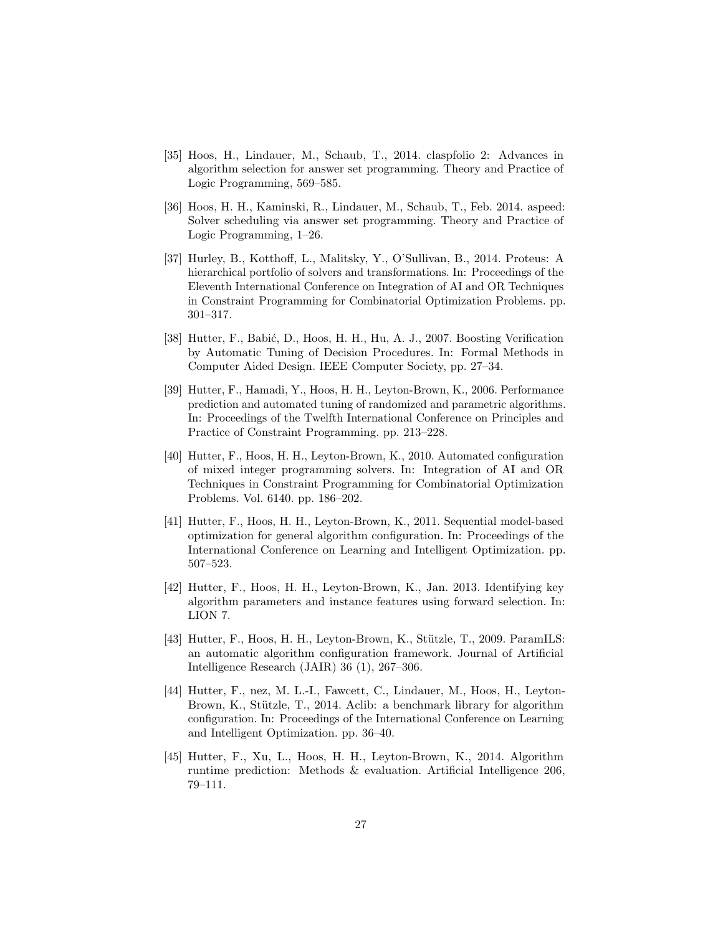- <span id="page-26-9"></span>[35] Hoos, H., Lindauer, M., Schaub, T., 2014. claspfolio 2: Advances in algorithm selection for answer set programming. Theory and Practice of Logic Programming, 569–585.
- <span id="page-26-0"></span>[36] Hoos, H. H., Kaminski, R., Lindauer, M., Schaub, T., Feb. 2014. aspeed: Solver scheduling via answer set programming. Theory and Practice of Logic Programming, 1–26.
- <span id="page-26-1"></span>[37] Hurley, B., Kotthoff, L., Malitsky, Y., O'Sullivan, B., 2014. Proteus: A hierarchical portfolio of solvers and transformations. In: Proceedings of the Eleventh International Conference on Integration of AI and OR Techniques in Constraint Programming for Combinatorial Optimization Problems. pp. 301–317.
- <span id="page-26-5"></span>[38] Hutter, F., Babić, D., Hoos, H. H., Hu, A. J., 2007. Boosting Verification by Automatic Tuning of Decision Procedures. In: Formal Methods in Computer Aided Design. IEEE Computer Society, pp. 27–34.
- <span id="page-26-7"></span>[39] Hutter, F., Hamadi, Y., Hoos, H. H., Leyton-Brown, K., 2006. Performance prediction and automated tuning of randomized and parametric algorithms. In: Proceedings of the Twelfth International Conference on Principles and Practice of Constraint Programming. pp. 213–228.
- <span id="page-26-6"></span>[40] Hutter, F., Hoos, H. H., Leyton-Brown, K., 2010. Automated configuration of mixed integer programming solvers. In: Integration of AI and OR Techniques in Constraint Programming for Combinatorial Optimization Problems. Vol. 6140. pp. 186–202.
- <span id="page-26-4"></span>[41] Hutter, F., Hoos, H. H., Leyton-Brown, K., 2011. Sequential model-based optimization for general algorithm configuration. In: Proceedings of the International Conference on Learning and Intelligent Optimization. pp. 507–523.
- <span id="page-26-10"></span>[42] Hutter, F., Hoos, H. H., Leyton-Brown, K., Jan. 2013. Identifying key algorithm parameters and instance features using forward selection. In: LION 7.
- <span id="page-26-3"></span>[43] Hutter, F., Hoos, H. H., Leyton-Brown, K., Stützle, T., 2009. ParamILS: an automatic algorithm configuration framework. Journal of Artificial Intelligence Research (JAIR) 36 (1), 267–306.
- <span id="page-26-8"></span>[44] Hutter, F., nez, M. L.-I., Fawcett, C., Lindauer, M., Hoos, H., Leyton-Brown, K., Stützle, T., 2014. Aclib: a benchmark library for algorithm configuration. In: Proceedings of the International Conference on Learning and Intelligent Optimization. pp. 36–40.
- <span id="page-26-2"></span>[45] Hutter, F., Xu, L., Hoos, H. H., Leyton-Brown, K., 2014. Algorithm runtime prediction: Methods & evaluation. Artificial Intelligence 206, 79–111.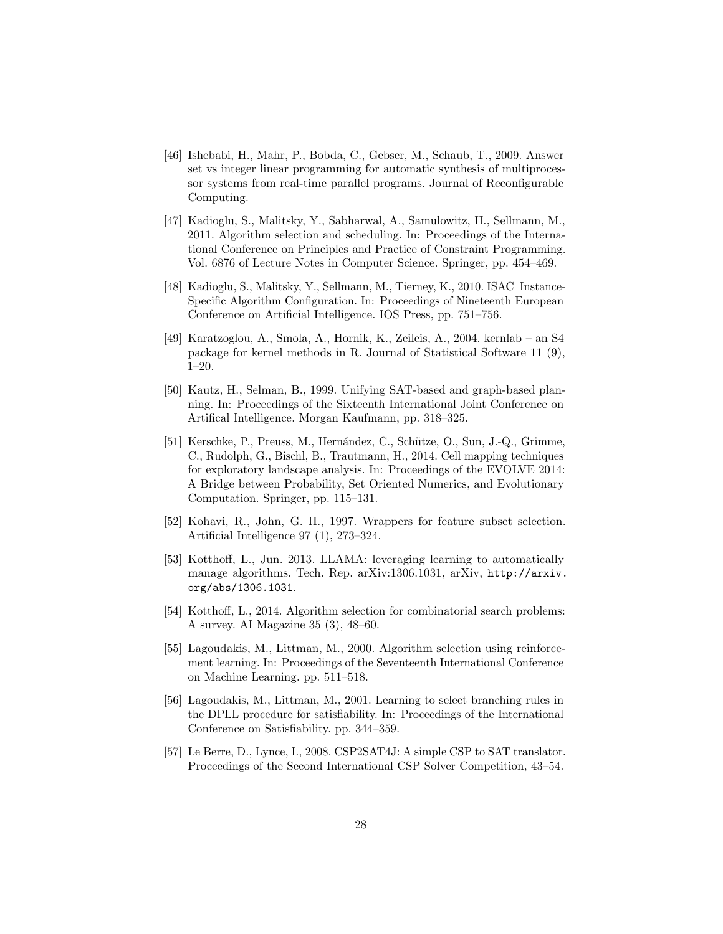- <span id="page-27-8"></span>[46] Ishebabi, H., Mahr, P., Bobda, C., Gebser, M., Schaub, T., 2009. Answer set vs integer linear programming for automatic synthesis of multiprocessor systems from real-time parallel programs. Journal of Reconfigurable Computing.
- <span id="page-27-0"></span>[47] Kadioglu, S., Malitsky, Y., Sabharwal, A., Samulowitz, H., Sellmann, M., 2011. Algorithm selection and scheduling. In: Proceedings of the International Conference on Principles and Practice of Constraint Programming. Vol. 6876 of Lecture Notes in Computer Science. Springer, pp. 454–469.
- <span id="page-27-3"></span>[48] Kadioglu, S., Malitsky, Y., Sellmann, M., Tierney, K., 2010. ISAC Instance-Specific Algorithm Configuration. In: Proceedings of Nineteenth European Conference on Artificial Intelligence. IOS Press, pp. 751–756.
- <span id="page-27-10"></span>[49] Karatzoglou, A., Smola, A., Hornik, K., Zeileis, A., 2004. kernlab – an S4 package for kernel methods in R. Journal of Statistical Software 11 (9), 1–20.
- <span id="page-27-6"></span>[50] Kautz, H., Selman, B., 1999. Unifying SAT-based and graph-based planning. In: Proceedings of the Sixteenth International Joint Conference on Artifical Intelligence. Morgan Kaufmann, pp. 318–325.
- <span id="page-27-4"></span>[51] Kerschke, P., Preuss, M., Hernández, C., Schütze, O., Sun, J.-Q., Grimme, C., Rudolph, G., Bischl, B., Trautmann, H., 2014. Cell mapping techniques for exploratory landscape analysis. In: Proceedings of the EVOLVE 2014: A Bridge between Probability, Set Oriented Numerics, and Evolutionary Computation. Springer, pp. 115–131.
- <span id="page-27-11"></span>[52] Kohavi, R., John, G. H., 1997. Wrappers for feature subset selection. Artificial Intelligence 97 (1), 273–324.
- <span id="page-27-9"></span>[53] Kotthoff, L., Jun. 2013. LLAMA: leveraging learning to automatically manage algorithms. Tech. Rep. arXiv:1306.1031, arXiv, [http://arxiv.](http://arxiv.org/abs/1306.1031) [org/abs/1306.1031](http://arxiv.org/abs/1306.1031).
- <span id="page-27-5"></span>[54] Kotthoff, L., 2014. Algorithm selection for combinatorial search problems: A survey. AI Magazine 35 (3), 48–60.
- <span id="page-27-1"></span>[55] Lagoudakis, M., Littman, M., 2000. Algorithm selection using reinforcement learning. In: Proceedings of the Seventeenth International Conference on Machine Learning. pp. 511–518.
- <span id="page-27-2"></span>[56] Lagoudakis, M., Littman, M., 2001. Learning to select branching rules in the DPLL procedure for satisfiability. In: Proceedings of the International Conference on Satisfiability. pp. 344–359.
- <span id="page-27-7"></span>[57] Le Berre, D., Lynce, I., 2008. CSP2SAT4J: A simple CSP to SAT translator. Proceedings of the Second International CSP Solver Competition, 43–54.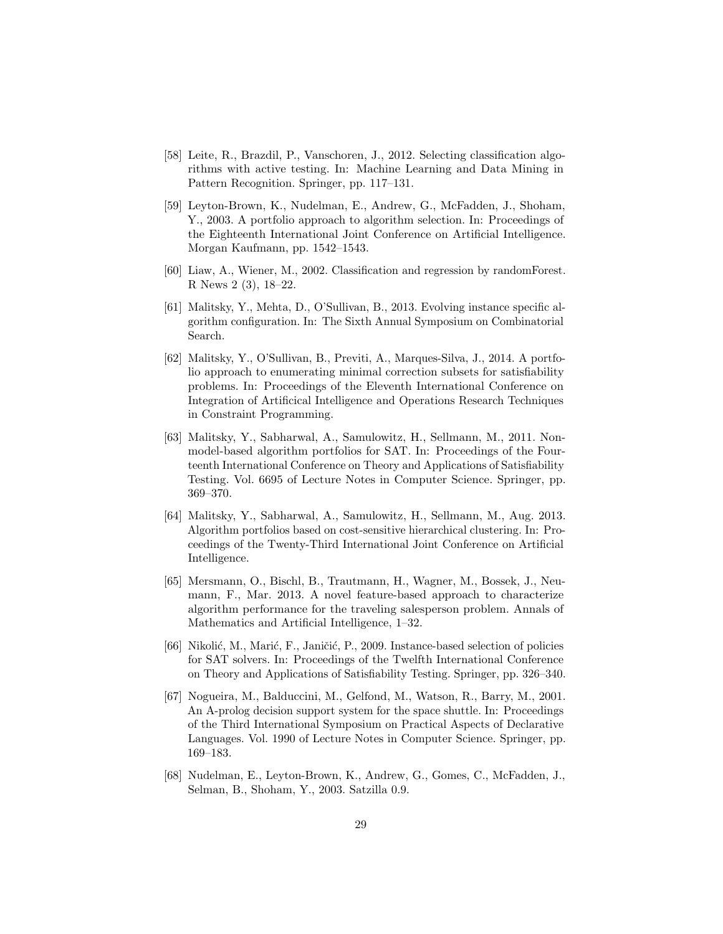- <span id="page-28-3"></span>[58] Leite, R., Brazdil, P., Vanschoren, J., 2012. Selecting classification algorithms with active testing. In: Machine Learning and Data Mining in Pattern Recognition. Springer, pp. 117–131.
- <span id="page-28-7"></span>[59] Leyton-Brown, K., Nudelman, E., Andrew, G., McFadden, J., Shoham, Y., 2003. A portfolio approach to algorithm selection. In: Proceedings of the Eighteenth International Joint Conference on Artificial Intelligence. Morgan Kaufmann, pp. 1542–1543.
- <span id="page-28-10"></span>[60] Liaw, A., Wiener, M., 2002. Classification and regression by randomForest. R News 2 (3), 18–22.
- <span id="page-28-0"></span>[61] Malitsky, Y., Mehta, D., O'Sullivan, B., 2013. Evolving instance specific algorithm configuration. In: The Sixth Annual Symposium on Combinatorial Search.
- <span id="page-28-4"></span>[62] Malitsky, Y., O'Sullivan, B., Previti, A., Marques-Silva, J., 2014. A portfolio approach to enumerating minimal correction subsets for satisfiability problems. In: Proceedings of the Eleventh International Conference on Integration of Artificical Intelligence and Operations Research Techniques in Constraint Programming.
- <span id="page-28-5"></span>[63] Malitsky, Y., Sabharwal, A., Samulowitz, H., Sellmann, M., 2011. Nonmodel-based algorithm portfolios for SAT. In: Proceedings of the Fourteenth International Conference on Theory and Applications of Satisfiability Testing. Vol. 6695 of Lecture Notes in Computer Science. Springer, pp. 369–370.
- <span id="page-28-9"></span>[64] Malitsky, Y., Sabharwal, A., Samulowitz, H., Sellmann, M., Aug. 2013. Algorithm portfolios based on cost-sensitive hierarchical clustering. In: Proceedings of the Twenty-Third International Joint Conference on Artificial Intelligence.
- <span id="page-28-6"></span>[65] Mersmann, O., Bischl, B., Trautmann, H., Wagner, M., Bossek, J., Neumann, F., Mar. 2013. A novel feature-based approach to characterize algorithm performance for the traveling salesperson problem. Annals of Mathematics and Artificial Intelligence, 1–32.
- <span id="page-28-2"></span>[66] Nikolić, M., Marić, F., Janičić, P., 2009. Instance-based selection of policies for SAT solvers. In: Proceedings of the Twelfth International Conference on Theory and Applications of Satisfiability Testing. Springer, pp. 326–340.
- <span id="page-28-8"></span>[67] Nogueira, M., Balduccini, M., Gelfond, M., Watson, R., Barry, M., 2001. An A-prolog decision support system for the space shuttle. In: Proceedings of the Third International Symposium on Practical Aspects of Declarative Languages. Vol. 1990 of Lecture Notes in Computer Science. Springer, pp. 169–183.
- <span id="page-28-1"></span>[68] Nudelman, E., Leyton-Brown, K., Andrew, G., Gomes, C., McFadden, J., Selman, B., Shoham, Y., 2003. Satzilla 0.9.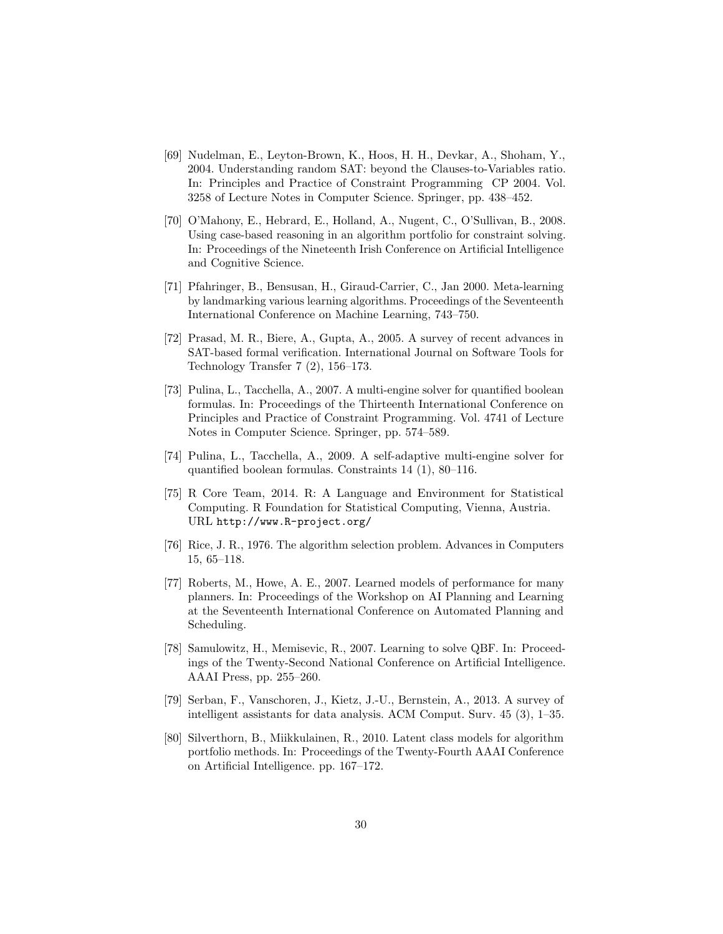- <span id="page-29-6"></span>[69] Nudelman, E., Leyton-Brown, K., Hoos, H. H., Devkar, A., Shoham, Y., 2004. Understanding random SAT: beyond the Clauses-to-Variables ratio. In: Principles and Practice of Constraint Programming CP 2004. Vol. 3258 of Lecture Notes in Computer Science. Springer, pp. 438–452.
- <span id="page-29-0"></span>[70] O'Mahony, E., Hebrard, E., Holland, A., Nugent, C., O'Sullivan, B., 2008. Using case-based reasoning in an algorithm portfolio for constraint solving. In: Proceedings of the Nineteenth Irish Conference on Artificial Intelligence and Cognitive Science.
- <span id="page-29-8"></span>[71] Pfahringer, B., Bensusan, H., Giraud-Carrier, C., Jan 2000. Meta-learning by landmarking various learning algorithms. Proceedings of the Seventeenth International Conference on Machine Learning, 743–750.
- <span id="page-29-10"></span>[72] Prasad, M. R., Biere, A., Gupta, A., 2005. A survey of recent advances in SAT-based formal verification. International Journal on Software Tools for Technology Transfer 7 (2), 156–173.
- <span id="page-29-7"></span>[73] Pulina, L., Tacchella, A., 2007. A multi-engine solver for quantified boolean formulas. In: Proceedings of the Thirteenth International Conference on Principles and Practice of Constraint Programming. Vol. 4741 of Lecture Notes in Computer Science. Springer, pp. 574–589.
- <span id="page-29-2"></span>[74] Pulina, L., Tacchella, A., 2009. A self-adaptive multi-engine solver for quantified boolean formulas. Constraints 14 (1), 80–116.
- <span id="page-29-11"></span>[75] R Core Team, 2014. R: A Language and Environment for Statistical Computing. R Foundation for Statistical Computing, Vienna, Austria. URL <http://www.R-project.org/>
- <span id="page-29-1"></span>[76] Rice, J. R., 1976. The algorithm selection problem. Advances in Computers 15, 65–118.
- <span id="page-29-4"></span>[77] Roberts, M., Howe, A. E., 2007. Learned models of performance for many planners. In: Proceedings of the Workshop on AI Planning and Learning at the Seventeenth International Conference on Automated Planning and Scheduling.
- <span id="page-29-3"></span>[78] Samulowitz, H., Memisevic, R., 2007. Learning to solve QBF. In: Proceedings of the Twenty-Second National Conference on Artificial Intelligence. AAAI Press, pp. 255–260.
- <span id="page-29-9"></span>[79] Serban, F., Vanschoren, J., Kietz, J.-U., Bernstein, A., 2013. A survey of intelligent assistants for data analysis. ACM Comput. Surv. 45 (3), 1–35.
- <span id="page-29-5"></span>[80] Silverthorn, B., Miikkulainen, R., 2010. Latent class models for algorithm portfolio methods. In: Proceedings of the Twenty-Fourth AAAI Conference on Artificial Intelligence. pp. 167–172.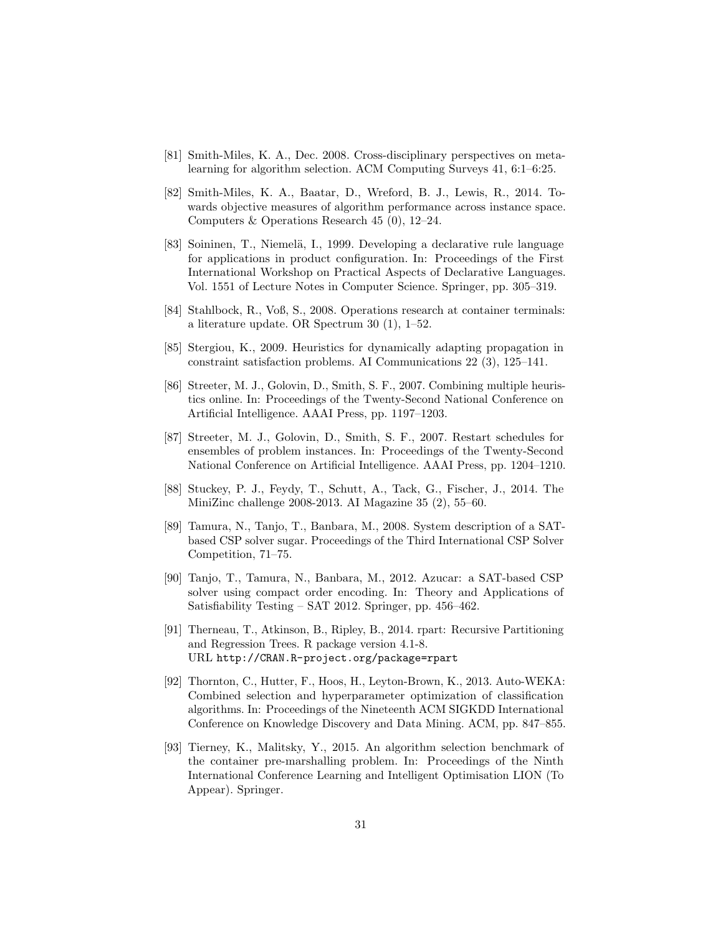- <span id="page-30-4"></span>[81] Smith-Miles, K. A., Dec. 2008. Cross-disciplinary perspectives on metalearning for algorithm selection. ACM Computing Surveys 41, 6:1–6:25.
- <span id="page-30-11"></span>[82] Smith-Miles, K. A., Baatar, D., Wreford, B. J., Lewis, R., 2014. Towards objective measures of algorithm performance across instance space. Computers & Operations Research 45 (0), 12–24.
- <span id="page-30-9"></span>[83] Soininen, T., Niemelä, I., 1999. Developing a declarative rule language for applications in product configuration. In: Proceedings of the First International Workshop on Practical Aspects of Declarative Languages. Vol. 1551 of Lecture Notes in Computer Science. Springer, pp. 305–319.
- <span id="page-30-10"></span>[84] Stahlbock, R., Voß, S., 2008. Operations research at container terminals: a literature update. OR Spectrum 30 (1), 1–52.
- <span id="page-30-2"></span>[85] Stergiou, K., 2009. Heuristics for dynamically adapting propagation in constraint satisfaction problems. AI Communications 22 (3), 125–141.
- <span id="page-30-3"></span>[86] Streeter, M. J., Golovin, D., Smith, S. F., 2007. Combining multiple heuristics online. In: Proceedings of the Twenty-Second National Conference on Artificial Intelligence. AAAI Press, pp. 1197–1203.
- <span id="page-30-1"></span>[87] Streeter, M. J., Golovin, D., Smith, S. F., 2007. Restart schedules for ensembles of problem instances. In: Proceedings of the Twenty-Second National Conference on Artificial Intelligence. AAAI Press, pp. 1204–1210.
- <span id="page-30-6"></span>[88] Stuckey, P. J., Feydy, T., Schutt, A., Tack, G., Fischer, J., 2014. The MiniZinc challenge 2008-2013. AI Magazine 35 (2), 55–60.
- <span id="page-30-7"></span>[89] Tamura, N., Tanjo, T., Banbara, M., 2008. System description of a SATbased CSP solver sugar. Proceedings of the Third International CSP Solver Competition, 71–75.
- <span id="page-30-8"></span>[90] Tanjo, T., Tamura, N., Banbara, M., 2012. Azucar: a SAT-based CSP solver using compact order encoding. In: Theory and Applications of Satisfiability Testing – SAT 2012. Springer, pp. 456–462.
- <span id="page-30-12"></span>[91] Therneau, T., Atkinson, B., Ripley, B., 2014. rpart: Recursive Partitioning and Regression Trees. R package version 4.1-8. URL <http://CRAN.R-project.org/package=rpart>
- <span id="page-30-0"></span>[92] Thornton, C., Hutter, F., Hoos, H., Leyton-Brown, K., 2013. Auto-WEKA: Combined selection and hyperparameter optimization of classification algorithms. In: Proceedings of the Nineteenth ACM SIGKDD International Conference on Knowledge Discovery and Data Mining. ACM, pp. 847–855.
- <span id="page-30-5"></span>[93] Tierney, K., Malitsky, Y., 2015. An algorithm selection benchmark of the container pre-marshalling problem. In: Proceedings of the Ninth International Conference Learning and Intelligent Optimisation LION (To Appear). Springer.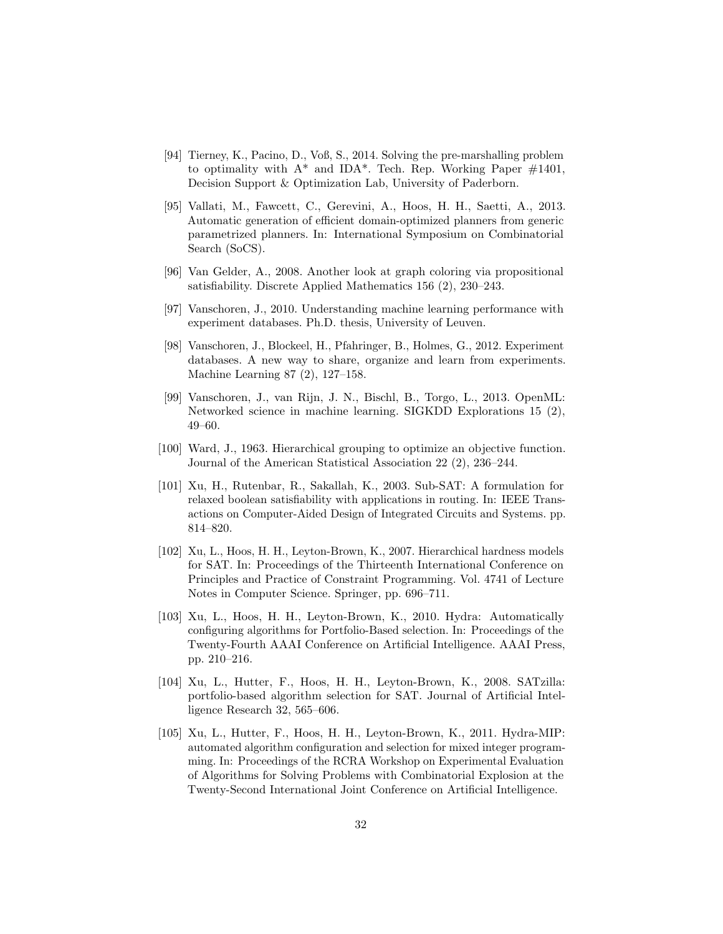- <span id="page-31-10"></span>[94] Tierney, K., Pacino, D., Voß, S., 2014. Solving the pre-marshalling problem to optimality with  $A^*$  and IDA\*. Tech. Rep. Working Paper  $\#1401$ , Decision Support & Optimization Lab, University of Paderborn.
- <span id="page-31-6"></span>[95] Vallati, M., Fawcett, C., Gerevini, A., Hoos, H. H., Saetti, A., 2013. Automatic generation of efficient domain-optimized planners from generic parametrized planners. In: International Symposium on Combinatorial Search (SoCS).
- <span id="page-31-8"></span>[96] Van Gelder, A., 2008. Another look at graph coloring via propositional satisfiability. Discrete Applied Mathematics 156 (2), 230–243.
- <span id="page-31-4"></span>[97] Vanschoren, J., 2010. Understanding machine learning performance with experiment databases. Ph.D. thesis, University of Leuven.
- <span id="page-31-0"></span>[98] Vanschoren, J., Blockeel, H., Pfahringer, B., Holmes, G., 2012. Experiment databases. A new way to share, organize and learn from experiments. Machine Learning 87 (2), 127–158.
- <span id="page-31-5"></span>[99] Vanschoren, J., van Rijn, J. N., Bischl, B., Torgo, L., 2013. OpenML: Networked science in machine learning. SIGKDD Explorations 15 (2), 49–60.
- <span id="page-31-11"></span>[100] Ward, J., 1963. Hierarchical grouping to optimize an objective function. Journal of the American Statistical Association 22 (2), 236–244.
- <span id="page-31-9"></span>[101] Xu, H., Rutenbar, R., Sakallah, K., 2003. Sub-SAT: A formulation for relaxed boolean satisfiability with applications in routing. In: IEEE Transactions on Computer-Aided Design of Integrated Circuits and Systems. pp. 814–820.
- <span id="page-31-2"></span>[102] Xu, L., Hoos, H. H., Leyton-Brown, K., 2007. Hierarchical hardness models for SAT. In: Proceedings of the Thirteenth International Conference on Principles and Practice of Constraint Programming. Vol. 4741 of Lecture Notes in Computer Science. Springer, pp. 696–711.
- <span id="page-31-7"></span>[103] Xu, L., Hoos, H. H., Leyton-Brown, K., 2010. Hydra: Automatically configuring algorithms for Portfolio-Based selection. In: Proceedings of the Twenty-Fourth AAAI Conference on Artificial Intelligence. AAAI Press, pp. 210–216.
- <span id="page-31-1"></span>[104] Xu, L., Hutter, F., Hoos, H. H., Leyton-Brown, K., 2008. SATzilla: portfolio-based algorithm selection for SAT. Journal of Artificial Intelligence Research 32, 565–606.
- <span id="page-31-3"></span>[105] Xu, L., Hutter, F., Hoos, H. H., Leyton-Brown, K., 2011. Hydra-MIP: automated algorithm configuration and selection for mixed integer programming. In: Proceedings of the RCRA Workshop on Experimental Evaluation of Algorithms for Solving Problems with Combinatorial Explosion at the Twenty-Second International Joint Conference on Artificial Intelligence.